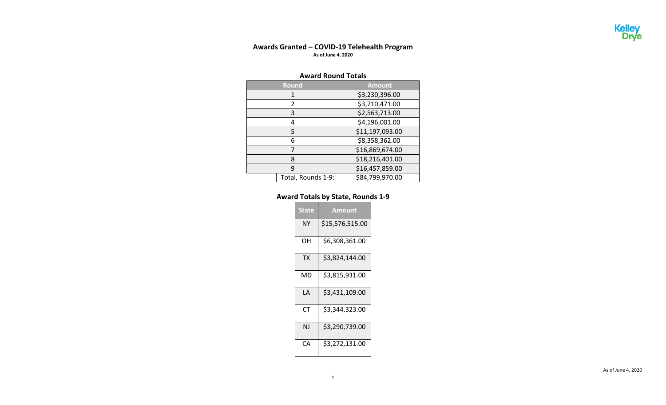## **Awards Granted – COVID-19 Telehealth Program As of June 4, 2020**

## **Award Round Totals**

| <b>Round</b>       | <b>Amount</b>   |  |  |
|--------------------|-----------------|--|--|
| 1                  | \$3,230,396.00  |  |  |
| 2                  | \$3,710,471.00  |  |  |
| 3                  | \$2,563,713.00  |  |  |
| 4                  | \$4,196,001.00  |  |  |
| 5                  | \$11,197,093.00 |  |  |
| 6                  | \$8,358,362.00  |  |  |
| 7                  | \$16,869,674.00 |  |  |
| 8                  | \$18,216,401.00 |  |  |
| ٩                  | \$16,457,859.00 |  |  |
| Total, Rounds 1-9: | \$84,799,970.00 |  |  |

## **Award Totals by State, Rounds 1-9**

| <b>State</b> | <b>Amount</b>   |
|--------------|-----------------|
| NΥ           | \$15,576,515.00 |
| OН           | \$6,308,361.00  |
| <b>TX</b>    | \$3,824,144.00  |
| MD           | \$3,815,931.00  |
| I A          | \$3,431,109.00  |
| СT           | \$3,344,323.00  |
| ΝJ           | \$3,290,739.00  |
| CА           | \$3,272,131.00  |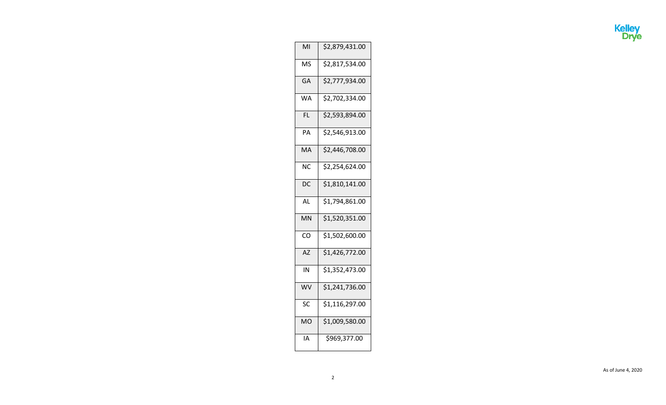

| MI                     | \$2,879,431.00             |
|------------------------|----------------------------|
| <b>MS</b>              | \$2,817,534.00             |
| GA                     | \$2,777,934.00             |
| <b>WA</b>              | \$2,702,334.00             |
| <b>FL</b>              | \$2,593,894.00             |
| PA                     | \$2,546,913.00             |
| MA                     | \$2,446,708.00             |
| $\overline{\text{NC}}$ | \$2,254,624.00             |
| $\overline{DC}$        | \$1,810,141.00             |
| AL                     | \$1,794,861.00             |
| MN                     | \$1,520,351.00             |
| $\overline{c}$         | $\overline{$}1,502,600.00$ |
| <b>AZ</b>              | \$1,426,772.00             |
| IN                     | \$1,352,473.00             |
| WV                     | $\overline{$}1,241,736.00$ |
| SC                     | \$1,116,297.00             |
| <b>MO</b>              | \$1,009,580.00             |
| ΙA                     | \$969,377.00               |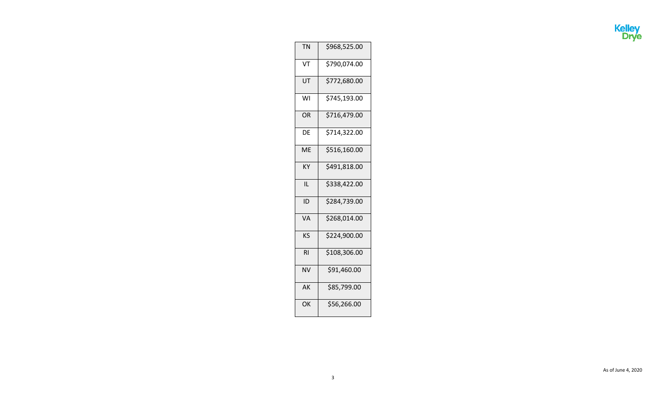

| <b>TN</b> | \$968,525.00 |
|-----------|--------------|
| VT        | \$790,074.00 |
| UT        | \$772,680.00 |
| WI        | \$745,193.00 |
| <b>OR</b> | \$716,479.00 |
| DE        | \$714,322.00 |
| ME        | \$516,160.00 |
| KΥ        | \$491,818.00 |
| ĪL        | \$338,422.00 |
| ID        | \$284,739.00 |
| <b>VA</b> | \$268,014.00 |
| KS        | \$224,900.00 |
| <b>RI</b> | \$108,306.00 |
| NV        | \$91,460.00  |
| AK        | \$85,799.00  |
| OK        | \$56,266.00  |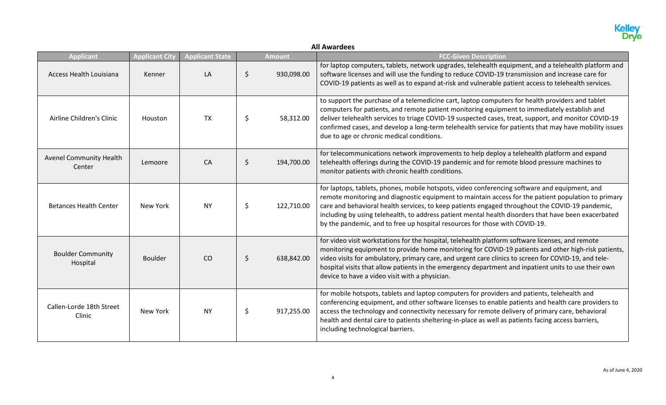## **All Awardees**

| <b>Applicant</b>                         | <b>Applicant City</b> | <b>Applicant State</b> |         | <b>Amount</b> | <b>FCC-Given Description</b>                                                                                                                                                                                                                                                                                                                                                                                                                                                                   |
|------------------------------------------|-----------------------|------------------------|---------|---------------|------------------------------------------------------------------------------------------------------------------------------------------------------------------------------------------------------------------------------------------------------------------------------------------------------------------------------------------------------------------------------------------------------------------------------------------------------------------------------------------------|
| Access Health Louisiana                  | Kenner                | LA                     | \$      | 930,098.00    | for laptop computers, tablets, network upgrades, telehealth equipment, and a telehealth platform and<br>software licenses and will use the funding to reduce COVID-19 transmission and increase care for<br>COVID-19 patients as well as to expand at-risk and vulnerable patient access to telehealth services.                                                                                                                                                                               |
| Airline Children's Clinic                | Houston               | <b>TX</b>              | \$      | 58,312.00     | to support the purchase of a telemedicine cart, laptop computers for health providers and tablet<br>computers for patients, and remote patient monitoring equipment to immediately establish and<br>deliver telehealth services to triage COVID-19 suspected cases, treat, support, and monitor COVID-19<br>confirmed cases, and develop a long-term telehealth service for patients that may have mobility issues<br>due to age or chronic medical conditions.                                |
| <b>Avenel Community Health</b><br>Center | Lemoore               | CA                     | $\zeta$ | 194,700.00    | for telecommunications network improvements to help deploy a telehealth platform and expand<br>telehealth offerings during the COVID-19 pandemic and for remote blood pressure machines to<br>monitor patients with chronic health conditions.                                                                                                                                                                                                                                                 |
| <b>Betances Health Center</b>            | New York              | <b>NY</b>              | \$      | 122,710.00    | for laptops, tablets, phones, mobile hotspots, video conferencing software and equipment, and<br>remote monitoring and diagnostic equipment to maintain access for the patient population to primary<br>care and behavioral health services, to keep patients engaged throughout the COVID-19 pandemic,<br>including by using telehealth, to address patient mental health disorders that have been exacerbated<br>by the pandemic, and to free up hospital resources for those with COVID-19. |
| <b>Boulder Community</b><br>Hospital     | <b>Boulder</b>        | CO                     | \$      | 638,842.00    | for video visit workstations for the hospital, telehealth platform software licenses, and remote<br>monitoring equipment to provide home monitoring for COVID-19 patients and other high-risk patients,<br>video visits for ambulatory, primary care, and urgent care clinics to screen for COVID-19, and tele-<br>hospital visits that allow patients in the emergency department and inpatient units to use their own<br>device to have a video visit with a physician.                      |
| Callen-Lorde 18th Street<br>Clinic       | New York              | <b>NY</b>              | \$      | 917,255.00    | for mobile hotspots, tablets and laptop computers for providers and patients, telehealth and<br>conferencing equipment, and other software licenses to enable patients and health care providers to<br>access the technology and connectivity necessary for remote delivery of primary care, behavioral<br>health and dental care to patients sheltering-in-place as well as patients facing access barriers,<br>including technological barriers.                                             |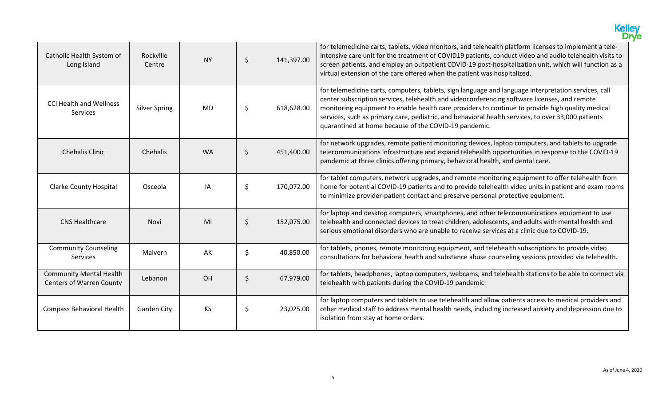|                                                                   |                      |           |         |            | <b>Kelley</b><br>Drve                                                                                                                                                                                                                                                                                                                                                                                                                                                   |
|-------------------------------------------------------------------|----------------------|-----------|---------|------------|-------------------------------------------------------------------------------------------------------------------------------------------------------------------------------------------------------------------------------------------------------------------------------------------------------------------------------------------------------------------------------------------------------------------------------------------------------------------------|
| Catholic Health System of<br>Long Island                          | Rockville<br>Centre  | <b>NY</b> | \$      | 141,397.00 | for telemedicine carts, tablets, video monitors, and telehealth platform licenses to implement a tele-<br>intensive care unit for the treatment of COVID19 patients, conduct video and audio telehealth visits to<br>screen patients, and employ an outpatient COVID-19 post-hospitalization unit, which will function as a<br>virtual extension of the care offered when the patient was hospitalized.                                                                 |
| <b>CCI Health and Wellness</b><br><b>Services</b>                 | <b>Silver Spring</b> | <b>MD</b> | \$      | 618,628.00 | for telemedicine carts, computers, tablets, sign language and language interpretation services, call<br>center subscription services, telehealth and videoconferencing software licenses, and remote<br>monitoring equipment to enable health care providers to continue to provide high quality medical<br>services, such as primary care, pediatric, and behavioral health services, to over 33,000 patients<br>quarantined at home because of the COVID-19 pandemic. |
| <b>Chehalis Clinic</b>                                            | Chehalis             | <b>WA</b> | \$      | 451,400.00 | for network upgrades, remote patient monitoring devices, laptop computers, and tablets to upgrade<br>telecommunications infrastructure and expand telehealth opportunities in response to the COVID-19<br>pandemic at three clinics offering primary, behavioral health, and dental care.                                                                                                                                                                               |
| <b>Clarke County Hospital</b>                                     | Osceola              | ΙA        | \$      | 170,072.00 | for tablet computers, network upgrades, and remote monitoring equipment to offer telehealth from<br>home for potential COVID-19 patients and to provide telehealth video units in patient and exam rooms<br>to minimize provider-patient contact and preserve personal protective equipment.                                                                                                                                                                            |
| <b>CNS Healthcare</b>                                             | Novi                 | MI        | $\zeta$ | 152,075.00 | for laptop and desktop computers, smartphones, and other telecommunications equipment to use<br>telehealth and connected devices to treat children, adolescents, and adults with mental health and<br>serious emotional disorders who are unable to receive services at a clinic due to COVID-19.                                                                                                                                                                       |
| <b>Community Counseling</b><br>Services                           | Malvern              | AK        | \$      | 40,850.00  | for tablets, phones, remote monitoring equipment, and telehealth subscriptions to provide video<br>consultations for behavioral health and substance abuse counseling sessions provided via telehealth.                                                                                                                                                                                                                                                                 |
| <b>Community Mental Health</b><br><b>Centers of Warren County</b> | Lebanon              | OH        | $\zeta$ | 67,979.00  | for tablets, headphones, laptop computers, webcams, and telehealth stations to be able to connect via<br>telehealth with patients during the COVID-19 pandemic.                                                                                                                                                                                                                                                                                                         |
| <b>Compass Behavioral Health</b>                                  | <b>Garden City</b>   | <b>KS</b> | \$      | 23,025.00  | for laptop computers and tablets to use telehealth and allow patients access to medical providers and<br>other medical staff to address mental health needs, including increased anxiety and depression due to<br>isolation from stay at home orders.                                                                                                                                                                                                                   |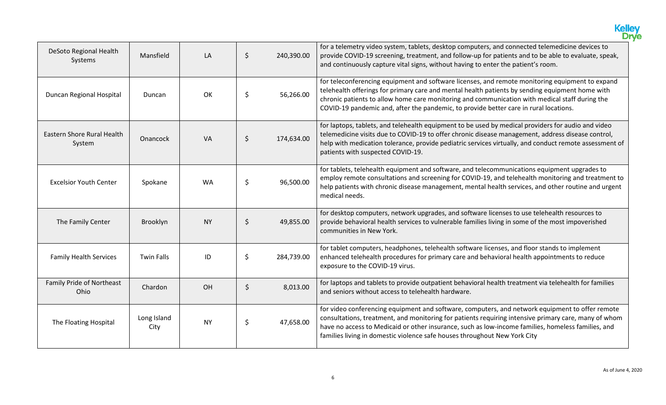|                                      |                     |           |         |            | <b>Kelley</b><br>Drve                                                                                                                                                                                                                                                                                                                                                                         |
|--------------------------------------|---------------------|-----------|---------|------------|-----------------------------------------------------------------------------------------------------------------------------------------------------------------------------------------------------------------------------------------------------------------------------------------------------------------------------------------------------------------------------------------------|
| DeSoto Regional Health<br>Systems    | Mansfield           | LA        | \$      | 240,390.00 | for a telemetry video system, tablets, desktop computers, and connected telemedicine devices to<br>provide COVID-19 screening, treatment, and follow-up for patients and to be able to evaluate, speak,<br>and continuously capture vital signs, without having to enter the patient's room.                                                                                                  |
| Duncan Regional Hospital             | Duncan              | <b>OK</b> | \$      | 56,266.00  | for teleconferencing equipment and software licenses, and remote monitoring equipment to expand<br>telehealth offerings for primary care and mental health patients by sending equipment home with<br>chronic patients to allow home care monitoring and communication with medical staff during the<br>COVID-19 pandemic and, after the pandemic, to provide better care in rural locations. |
| Eastern Shore Rural Health<br>System | Onancock            | VA        | $\zeta$ | 174,634.00 | for laptops, tablets, and telehealth equipment to be used by medical providers for audio and video<br>telemedicine visits due to COVID-19 to offer chronic disease management, address disease control,<br>help with medication tolerance, provide pediatric services virtually, and conduct remote assessment of<br>patients with suspected COVID-19.                                        |
| <b>Excelsior Youth Center</b>        | Spokane             | <b>WA</b> | \$      | 96,500.00  | for tablets, telehealth equipment and software, and telecommunications equipment upgrades to<br>employ remote consultations and screening for COVID-19, and telehealth monitoring and treatment to<br>help patients with chronic disease management, mental health services, and other routine and urgent<br>medical needs.                                                                   |
| The Family Center                    | Brooklyn            | <b>NY</b> | $\zeta$ | 49,855.00  | for desktop computers, network upgrades, and software licenses to use telehealth resources to<br>provide behavioral health services to vulnerable families living in some of the most impoverished<br>communities in New York.                                                                                                                                                                |
| <b>Family Health Services</b>        | <b>Twin Falls</b>   | ID        | \$      | 284,739.00 | for tablet computers, headphones, telehealth software licenses, and floor stands to implement<br>enhanced telehealth procedures for primary care and behavioral health appointments to reduce<br>exposure to the COVID-19 virus.                                                                                                                                                              |
| Family Pride of Northeast<br>Ohio    | Chardon             | OH        | \$      | 8,013.00   | for laptops and tablets to provide outpatient behavioral health treatment via telehealth for families<br>and seniors without access to telehealth hardware.                                                                                                                                                                                                                                   |
| The Floating Hospital                | Long Island<br>City | <b>NY</b> | \$      | 47,658.00  | for video conferencing equipment and software, computers, and network equipment to offer remote<br>consultations, treatment, and monitoring for patients requiring intensive primary care, many of whom<br>have no access to Medicaid or other insurance, such as low-income families, homeless families, and<br>families living in domestic violence safe houses throughout New York City    |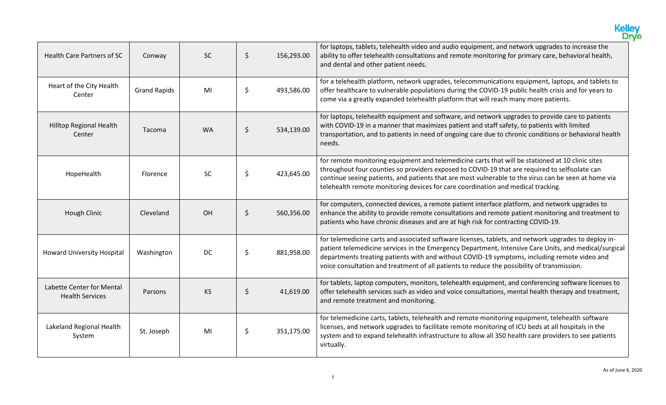|                                                     |                     |           |         |            | <b>Kelley</b><br>Drve                                                                                                                                                                                                                                                                                                                                                                                        |
|-----------------------------------------------------|---------------------|-----------|---------|------------|--------------------------------------------------------------------------------------------------------------------------------------------------------------------------------------------------------------------------------------------------------------------------------------------------------------------------------------------------------------------------------------------------------------|
| <b>Health Care Partners of SC</b>                   | Conway              | <b>SC</b> | $\zeta$ | 156,293.00 | for laptops, tablets, telehealth video and audio equipment, and network upgrades to increase the<br>ability to offer telehealth consultations and remote monitoring for primary care, behavioral health,<br>and dental and other patient needs.                                                                                                                                                              |
| Heart of the City Health<br>Center                  | <b>Grand Rapids</b> | MI        | \$      | 493,586.00 | for a telehealth platform, network upgrades, telecommunications equipment, laptops, and tablets to<br>offer healthcare to vulnerable populations during the COVID-19 public health crisis and for years to<br>come via a greatly expanded telehealth platform that will reach many more patients.                                                                                                            |
| <b>Hilltop Regional Health</b><br>Center            | Tacoma              | <b>WA</b> | \$      | 534,139.00 | for laptops, telehealth equipment and software, and network upgrades to provide care to patients<br>with COVID-19 in a manner that maximizes patient and staff safety, to patients with limited<br>transportation, and to patients in need of ongoing care due to chronic conditions or behavioral health<br>needs.                                                                                          |
| HopeHealth                                          | <b>Florence</b>     | <b>SC</b> | \$      | 423,645.00 | for remote monitoring equipment and telemedicine carts that will be stationed at 10 clinic sites<br>throughout four counties so providers exposed to COVID-19 that are required to selfisolate can<br>continue seeing patients, and patients that are most vulnerable to the virus can be seen at home via<br>telehealth remote monitoring devices for care coordination and medical tracking.               |
| Hough Clinic                                        | Cleveland           | OH        | \$      | 560,356.00 | for computers, connected devices, a remote patient interface platform, and network upgrades to<br>enhance the ability to provide remote consultations and remote patient monitoring and treatment to<br>patients who have chronic diseases and are at high risk for contracting COVID-19.                                                                                                                    |
| <b>Howard University Hospital</b>                   | Washington          | <b>DC</b> | \$      | 881,958.00 | for telemedicine carts and associated software licenses, tablets, and network upgrades to deploy in-<br>patient telemedicine services in the Emergency Department, Intensive Care Units, and medical/surgical<br>departments treating patients with and without COVID-19 symptoms, including remote video and<br>voice consultation and treatment of all patients to reduce the possibility of transmission. |
| Labette Center for Mental<br><b>Health Services</b> | Parsons             | <b>KS</b> | \$      | 41,619.00  | for tablets, laptop computers, monitors, telehealth equipment, and conferencing software licenses to<br>offer telehealth services such as video and voice consultations, mental health therapy and treatment,<br>and remote treatment and monitoring.                                                                                                                                                        |
| Lakeland Regional Health<br>System                  | St. Joseph          | MI        | \$      | 351,175.00 | for telemedicine carts, tablets, telehealth and remote monitoring equipment, telehealth software<br>licenses, and network upgrades to facilitate remote monitoring of ICU beds at all hospitals in the<br>system and to expand telehealth infrastructure to allow all 350 health care providers to see patients<br>virtually.                                                                                |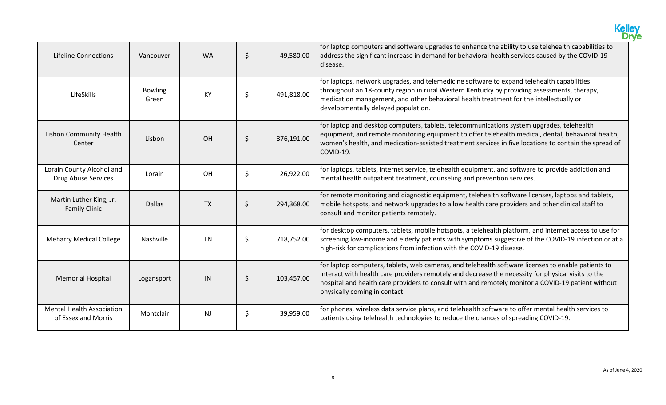|                                                         |                         |           |                  | <b>Kelley</b><br>Drve                                                                                                                                                                                                                                                                                                                           |
|---------------------------------------------------------|-------------------------|-----------|------------------|-------------------------------------------------------------------------------------------------------------------------------------------------------------------------------------------------------------------------------------------------------------------------------------------------------------------------------------------------|
| <b>Lifeline Connections</b>                             | Vancouver               | <b>WA</b> | \$<br>49,580.00  | for laptop computers and software upgrades to enhance the ability to use telehealth capabilities to<br>address the significant increase in demand for behavioral health services caused by the COVID-19<br>disease.                                                                                                                             |
| LifeSkills                                              | <b>Bowling</b><br>Green | <b>KY</b> | \$<br>491,818.00 | for laptops, network upgrades, and telemedicine software to expand telehealth capabilities<br>throughout an 18-county region in rural Western Kentucky by providing assessments, therapy,<br>medication management, and other behavioral health treatment for the intellectually or<br>developmentally delayed population.                      |
| <b>Lisbon Community Health</b><br>Center                | Lisbon                  | OH        | \$<br>376,191.00 | for laptop and desktop computers, tablets, telecommunications system upgrades, telehealth<br>equipment, and remote monitoring equipment to offer telehealth medical, dental, behavioral health,<br>women's health, and medication-assisted treatment services in five locations to contain the spread of<br>COVID-19.                           |
| Lorain County Alcohol and<br>Drug Abuse Services        | Lorain                  | OH        | \$<br>26,922.00  | for laptops, tablets, internet service, telehealth equipment, and software to provide addiction and<br>mental health outpatient treatment, counseling and prevention services.                                                                                                                                                                  |
| Martin Luther King, Jr.<br><b>Family Clinic</b>         | <b>Dallas</b>           | <b>TX</b> | \$<br>294,368.00 | for remote monitoring and diagnostic equipment, telehealth software licenses, laptops and tablets,<br>mobile hotspots, and network upgrades to allow health care providers and other clinical staff to<br>consult and monitor patients remotely.                                                                                                |
| <b>Meharry Medical College</b>                          | Nashville               | <b>TN</b> | \$<br>718,752.00 | for desktop computers, tablets, mobile hotspots, a telehealth platform, and internet access to use for<br>screening low-income and elderly patients with symptoms suggestive of the COVID-19 infection or at a<br>high-risk for complications from infection with the COVID-19 disease.                                                         |
| <b>Memorial Hospital</b>                                | Logansport              | IN        | \$<br>103,457.00 | for laptop computers, tablets, web cameras, and telehealth software licenses to enable patients to<br>interact with health care providers remotely and decrease the necessity for physical visits to the<br>hospital and health care providers to consult with and remotely monitor a COVID-19 patient without<br>physically coming in contact. |
| <b>Mental Health Association</b><br>of Essex and Morris | Montclair               | <b>NJ</b> | \$<br>39,959.00  | for phones, wireless data service plans, and telehealth software to offer mental health services to<br>patients using telehealth technologies to reduce the chances of spreading COVID-19.                                                                                                                                                      |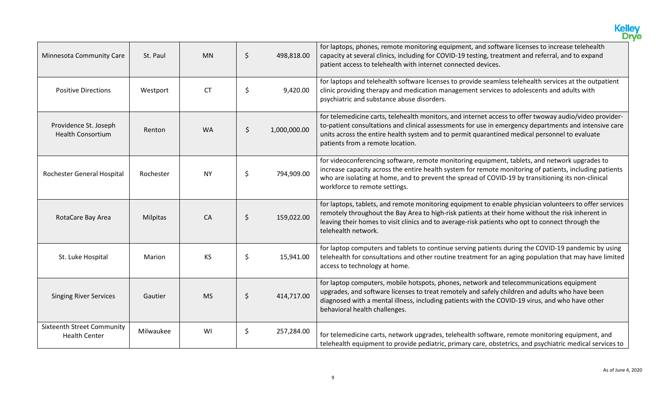|                                                           |           |           |         |              | <b>Kelley</b><br>Drye                                                                                                                                                                                                                                                                                                                                |
|-----------------------------------------------------------|-----------|-----------|---------|--------------|------------------------------------------------------------------------------------------------------------------------------------------------------------------------------------------------------------------------------------------------------------------------------------------------------------------------------------------------------|
| Minnesota Community Care                                  | St. Paul  | <b>MN</b> | $\zeta$ | 498,818.00   | for laptops, phones, remote monitoring equipment, and software licenses to increase telehealth<br>capacity at several clinics, including for COVID-19 testing, treatment and referral, and to expand<br>patient access to telehealth with internet connected devices.                                                                                |
| <b>Positive Directions</b>                                | Westport  | <b>CT</b> | \$      | 9,420.00     | for laptops and telehealth software licenses to provide seamless telehealth services at the outpatient<br>clinic providing therapy and medication management services to adolescents and adults with<br>psychiatric and substance abuse disorders.                                                                                                   |
| Providence St. Joseph<br><b>Health Consortium</b>         | Renton    | <b>WA</b> | \$      | 1,000,000.00 | for telemedicine carts, telehealth monitors, and internet access to offer twoway audio/video provider-<br>to-patient consultations and clinical assessments for use in emergency departments and intensive care<br>units across the entire health system and to permit quarantined medical personnel to evaluate<br>patients from a remote location. |
| Rochester General Hospital                                | Rochester | <b>NY</b> | \$      | 794,909.00   | for videoconferencing software, remote monitoring equipment, tablets, and network upgrades to<br>increase capacity across the entire health system for remote monitoring of patients, including patients<br>who are isolating at home, and to prevent the spread of COVID-19 by transitioning its non-clinical<br>workforce to remote settings.      |
| RotaCare Bay Area                                         | Milpitas  | CA        | $\zeta$ | 159,022.00   | for laptops, tablets, and remote monitoring equipment to enable physician volunteers to offer services<br>remotely throughout the Bay Area to high-risk patients at their home without the risk inherent in<br>leaving their homes to visit clinics and to average-risk patients who opt to connect through the<br>telehealth network.               |
| St. Luke Hospital                                         | Marion    | KS        | \$      | 15,941.00    | for laptop computers and tablets to continue serving patients during the COVID-19 pandemic by using<br>telehealth for consultations and other routine treatment for an aging population that may have limited<br>access to technology at home.                                                                                                       |
| <b>Singing River Services</b>                             | Gautier   | <b>MS</b> | $\zeta$ | 414,717.00   | for laptop computers, mobile hotspots, phones, network and telecommunications equipment<br>upgrades, and software licenses to treat remotely and safely children and adults who have been<br>diagnosed with a mental illness, including patients with the COVID-19 virus, and who have other<br>behavioral health challenges.                        |
| <b>Sixteenth Street Community</b><br><b>Health Center</b> | Milwaukee | WI        | \$      | 257,284.00   | for telemedicine carts, network upgrades, telehealth software, remote monitoring equipment, and<br>telehealth equipment to provide pediatric, primary care, obstetrics, and psychiatric medical services to                                                                                                                                          |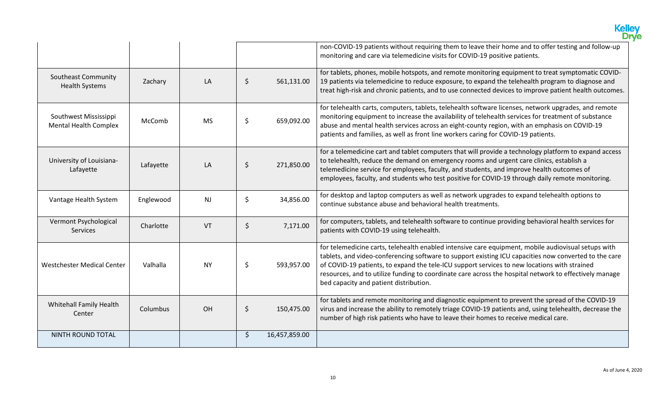|                                                       |           |           |                     | Kelley<br>Drve                                                                                                                                                                                                                                                                                                                                                                                                                                                   |
|-------------------------------------------------------|-----------|-----------|---------------------|------------------------------------------------------------------------------------------------------------------------------------------------------------------------------------------------------------------------------------------------------------------------------------------------------------------------------------------------------------------------------------------------------------------------------------------------------------------|
|                                                       |           |           |                     | non-COVID-19 patients without requiring them to leave their home and to offer testing and follow-up<br>monitoring and care via telemedicine visits for COVID-19 positive patients.                                                                                                                                                                                                                                                                               |
| <b>Southeast Community</b><br><b>Health Systems</b>   | Zachary   | LA        | \$<br>561,131.00    | for tablets, phones, mobile hotspots, and remote monitoring equipment to treat symptomatic COVID-<br>19 patients via telemedicine to reduce exposure, to expand the telehealth program to diagnose and<br>treat high-risk and chronic patients, and to use connected devices to improve patient health outcomes.                                                                                                                                                 |
| Southwest Mississippi<br><b>Mental Health Complex</b> | McComb    | <b>MS</b> | \$<br>659,092.00    | for telehealth carts, computers, tablets, telehealth software licenses, network upgrades, and remote<br>monitoring equipment to increase the availability of telehealth services for treatment of substance<br>abuse and mental health services across an eight-county region, with an emphasis on COVID-19<br>patients and families, as well as front line workers caring for COVID-19 patients.                                                                |
| University of Louisiana-<br>Lafayette                 | Lafayette | LA        | \$<br>271,850.00    | for a telemedicine cart and tablet computers that will provide a technology platform to expand access<br>to telehealth, reduce the demand on emergency rooms and urgent care clinics, establish a<br>telemedicine service for employees, faculty, and students, and improve health outcomes of<br>employees, faculty, and students who test positive for COVID-19 through daily remote monitoring.                                                               |
| Vantage Health System                                 | Englewood | <b>NJ</b> | \$<br>34,856.00     | for desktop and laptop computers as well as network upgrades to expand telehealth options to<br>continue substance abuse and behavioral health treatments.                                                                                                                                                                                                                                                                                                       |
| Vermont Psychological<br>Services                     | Charlotte | VT        | \$<br>7,171.00      | for computers, tablets, and telehealth software to continue providing behavioral health services for<br>patients with COVID-19 using telehealth.                                                                                                                                                                                                                                                                                                                 |
| Westchester Medical Center                            | Valhalla  | <b>NY</b> | \$<br>593,957.00    | for telemedicine carts, telehealth enabled intensive care equipment, mobile audiovisual setups with<br>tablets, and video-conferencing software to support existing ICU capacities now converted to the care<br>of COVID-19 patients, to expand the tele-ICU support services to new locations with strained<br>resources, and to utilize funding to coordinate care across the hospital network to effectively manage<br>bed capacity and patient distribution. |
| Whitehall Family Health<br>Center                     | Columbus  | OH        | \$<br>150,475.00    | for tablets and remote monitoring and diagnostic equipment to prevent the spread of the COVID-19<br>virus and increase the ability to remotely triage COVID-19 patients and, using telehealth, decrease the<br>number of high risk patients who have to leave their homes to receive medical care.                                                                                                                                                               |
| NINTH ROUND TOTAL                                     |           |           | \$<br>16,457,859.00 |                                                                                                                                                                                                                                                                                                                                                                                                                                                                  |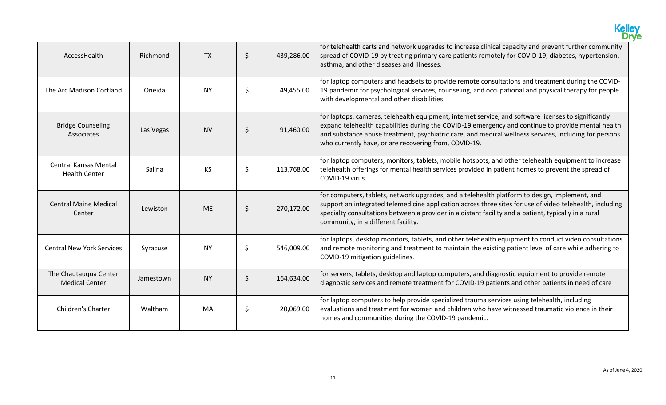|                                                      |           |           |               |            | <b>Kelley</b><br>Drve                                                                                                                                                                                                                                                                                                                                                        |
|------------------------------------------------------|-----------|-----------|---------------|------------|------------------------------------------------------------------------------------------------------------------------------------------------------------------------------------------------------------------------------------------------------------------------------------------------------------------------------------------------------------------------------|
| AccessHealth                                         | Richmond  | <b>TX</b> | $\zeta$       | 439,286.00 | for telehealth carts and network upgrades to increase clinical capacity and prevent further community<br>spread of COVID-19 by treating primary care patients remotely for COVID-19, diabetes, hypertension,<br>asthma, and other diseases and illnesses.                                                                                                                    |
| The Arc Madison Cortland                             | Oneida    | <b>NY</b> | \$            | 49,455.00  | for laptop computers and headsets to provide remote consultations and treatment during the COVID-<br>19 pandemic for psychological services, counseling, and occupational and physical therapy for people<br>with developmental and other disabilities                                                                                                                       |
| <b>Bridge Counseling</b><br><b>Associates</b>        | Las Vegas | <b>NV</b> | $\frac{1}{2}$ | 91,460.00  | for laptops, cameras, telehealth equipment, internet service, and software licenses to significantly<br>expand telehealth capabilities during the COVID-19 emergency and continue to provide mental health<br>and substance abuse treatment, psychiatric care, and medical wellness services, including for persons<br>who currently have, or are recovering from, COVID-19. |
| <b>Central Kansas Mental</b><br><b>Health Center</b> | Salina    | KS        | \$            | 113,768.00 | for laptop computers, monitors, tablets, mobile hotspots, and other telehealth equipment to increase<br>telehealth offerings for mental health services provided in patient homes to prevent the spread of<br>COVID-19 virus.                                                                                                                                                |
| <b>Central Maine Medical</b><br>Center               | Lewiston  | <b>ME</b> | $\zeta$       | 270,172.00 | for computers, tablets, network upgrades, and a telehealth platform to design, implement, and<br>support an integrated telemedicine application across three sites for use of video telehealth, including<br>specialty consultations between a provider in a distant facility and a patient, typically in a rural<br>community, in a different facility.                     |
| <b>Central New York Services</b>                     | Syracuse  | <b>NY</b> | \$            | 546,009.00 | for laptops, desktop monitors, tablets, and other telehealth equipment to conduct video consultations<br>and remote monitoring and treatment to maintain the existing patient level of care while adhering to<br>COVID-19 mitigation guidelines.                                                                                                                             |
| The Chautauqua Center<br><b>Medical Center</b>       | Jamestown | <b>NY</b> | $\zeta$       | 164,634.00 | for servers, tablets, desktop and laptop computers, and diagnostic equipment to provide remote<br>diagnostic services and remote treatment for COVID-19 patients and other patients in need of care                                                                                                                                                                          |
| <b>Children's Charter</b>                            | Waltham   | <b>MA</b> | \$            | 20,069.00  | for laptop computers to help provide specialized trauma services using telehealth, including<br>evaluations and treatment for women and children who have witnessed traumatic violence in their<br>homes and communities during the COVID-19 pandemic.                                                                                                                       |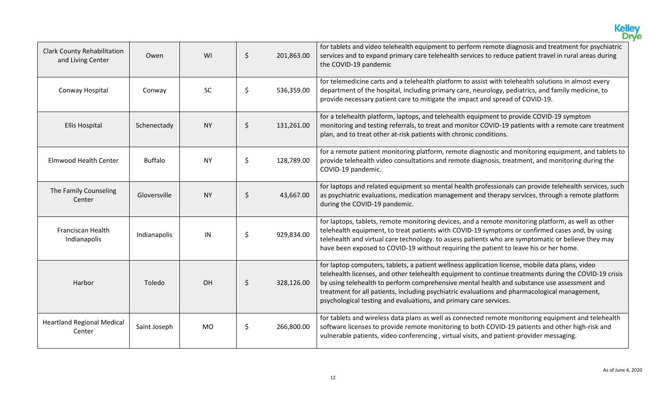|                                                         |                |           |                  | Kelley<br>Drve                                                                                                                                                                                                                                                                                                                                                                                                                                                                |
|---------------------------------------------------------|----------------|-----------|------------------|-------------------------------------------------------------------------------------------------------------------------------------------------------------------------------------------------------------------------------------------------------------------------------------------------------------------------------------------------------------------------------------------------------------------------------------------------------------------------------|
| <b>Clark County Rehabilitation</b><br>and Living Center | Owen           | WI        | \$<br>201,863.00 | for tablets and video telehealth equipment to perform remote diagnosis and treatment for psychiatric<br>services and to expand primary care telehealth services to reduce patient travel in rural areas during<br>the COVID-19 pandemic                                                                                                                                                                                                                                       |
| Conway Hospital                                         | Conway         | <b>SC</b> | \$<br>536,359.00 | for telemedicine carts and a telehealth platform to assist with telehealth solutions in almost every<br>department of the hospital, including primary care, neurology, pediatrics, and family medicine, to<br>provide necessary patient care to mitigate the impact and spread of COVID-19.                                                                                                                                                                                   |
| <b>Ellis Hospital</b>                                   | Schenectady    | <b>NY</b> | \$<br>131,261.00 | for a telehealth platform, laptops, and telehealth equipment to provide COVID-19 symptom<br>monitoring and testing referrals, to treat and monitor COVID-19 patients with a remote care treatment<br>plan, and to treat other at-risk patients with chronic conditions.                                                                                                                                                                                                       |
| <b>Elmwood Health Center</b>                            | <b>Buffalo</b> | <b>NY</b> | \$<br>128,789.00 | for a remote patient monitoring platform, remote diagnostic and monitoring equipment, and tablets to<br>provide telehealth video consultations and remote diagnosis, treatment, and monitoring during the<br>COVID-19 pandemic.                                                                                                                                                                                                                                               |
| The Family Counseling<br>Center                         | Gloversville   | <b>NY</b> | \$<br>43,667.00  | for laptops and related equipment so mental health professionals can provide telehealth services, such<br>as psychiatric evaluations, medication management and therapy services, through a remote platform<br>during the COVID-19 pandemic.                                                                                                                                                                                                                                  |
| Franciscan Health<br>Indianapolis                       | Indianapolis   | IN        | \$<br>929,834.00 | for laptops, tablets, remote monitoring devices, and a remote monitoring platform, as well as other<br>telehealth equipment, to treat patients with COVID-19 symptoms or confirmed cases and, by using<br>telehealth and virtual care technology. to assess patients who are symptomatic or believe they may<br>have been exposed to COVID-19 without requiring the patient to leave his or her home.                                                                         |
| Harbor                                                  | Toledo         | OH        | \$<br>328,126.00 | for laptop computers, tablets, a patient wellness application license, mobile data plans, video<br>telehealth licenses, and other telehealth equipment to continue treatments during the COVID-19 crisis<br>by using telehealth to perform comprehensive mental health and substance use assessment and<br>treatment for all patients, including psychiatric evaluations and pharmacological management,<br>psychological testing and evaluations, and primary care services. |
| <b>Heartland Regional Medical</b><br>Center             | Saint Joseph   | <b>MO</b> | \$<br>266,800.00 | for tablets and wireless data plans as well as connected remote monitoring equipment and telehealth<br>software licenses to provide remote monitoring to both COVID-19 patients and other high-risk and<br>vulnerable patients, video conferencing, virtual visits, and patient-provider messaging.                                                                                                                                                                           |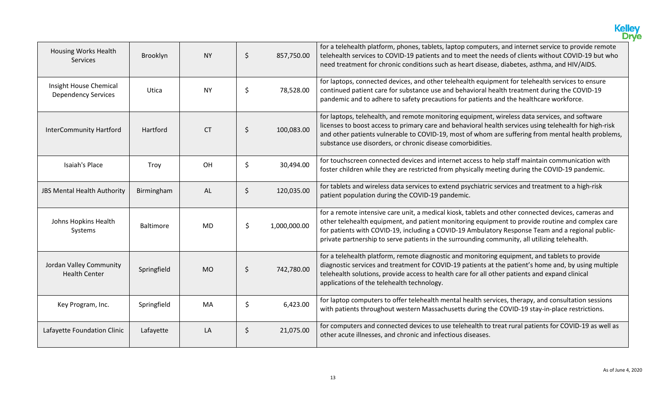|                                                      |                  |           |         |              | Kelley                                                                                                                                                                                                                                                                                                                                                                                                       |
|------------------------------------------------------|------------------|-----------|---------|--------------|--------------------------------------------------------------------------------------------------------------------------------------------------------------------------------------------------------------------------------------------------------------------------------------------------------------------------------------------------------------------------------------------------------------|
| Housing Works Health<br>Services                     | Brooklyn         | <b>NY</b> | \$      | 857,750.00   | for a telehealth platform, phones, tablets, laptop computers, and internet service to provide remote<br>telehealth services to COVID-19 patients and to meet the needs of clients without COVID-19 but who<br>need treatment for chronic conditions such as heart disease, diabetes, asthma, and HIV/AIDS.                                                                                                   |
| Insight House Chemical<br><b>Dependency Services</b> | Utica            | <b>NY</b> | \$      | 78,528.00    | for laptops, connected devices, and other telehealth equipment for telehealth services to ensure<br>continued patient care for substance use and behavioral health treatment during the COVID-19<br>pandemic and to adhere to safety precautions for patients and the healthcare workforce.                                                                                                                  |
| <b>InterCommunity Hartford</b>                       | Hartford         | <b>CT</b> | \$      | 100,083.00   | for laptops, telehealth, and remote monitoring equipment, wireless data services, and software<br>licenses to boost access to primary care and behavioral health services using telehealth for high-risk<br>and other patients vulnerable to COVID-19, most of whom are suffering from mental health problems,<br>substance use disorders, or chronic disease comorbidities.                                 |
| Isaiah's Place                                       | Troy             | OH        | \$      | 30,494.00    | for touchscreen connected devices and internet access to help staff maintain communication with<br>foster children while they are restricted from physically meeting during the COVID-19 pandemic.                                                                                                                                                                                                           |
| JBS Mental Health Authority                          | Birmingham       | <b>AL</b> | $\zeta$ | 120,035.00   | for tablets and wireless data services to extend psychiatric services and treatment to a high-risk<br>patient population during the COVID-19 pandemic.                                                                                                                                                                                                                                                       |
| Johns Hopkins Health<br>Systems                      | <b>Baltimore</b> | <b>MD</b> | \$      | 1,000,000.00 | for a remote intensive care unit, a medical kiosk, tablets and other connected devices, cameras and<br>other telehealth equipment, and patient monitoring equipment to provide routine and complex care<br>for patients with COVID-19, including a COVID-19 Ambulatory Response Team and a regional public-<br>private partnership to serve patients in the surrounding community, all utilizing telehealth. |
| Jordan Valley Community<br><b>Health Center</b>      | Springfield      | <b>MO</b> | $\zeta$ | 742,780.00   | for a telehealth platform, remote diagnostic and monitoring equipment, and tablets to provide<br>diagnostic services and treatment for COVID-19 patients at the patient's home and, by using multiple<br>telehealth solutions, provide access to health care for all other patients and expand clinical<br>applications of the telehealth technology.                                                        |
| Key Program, Inc.                                    | Springfield      | MA        | \$      | 6,423.00     | for laptop computers to offer telehealth mental health services, therapy, and consultation sessions<br>with patients throughout western Massachusetts during the COVID-19 stay-in-place restrictions.                                                                                                                                                                                                        |
| Lafayette Foundation Clinic                          | Lafayette        | LA        | \$      | 21,075.00    | for computers and connected devices to use telehealth to treat rural patients for COVID-19 as well as<br>other acute illnesses, and chronic and infectious diseases.                                                                                                                                                                                                                                         |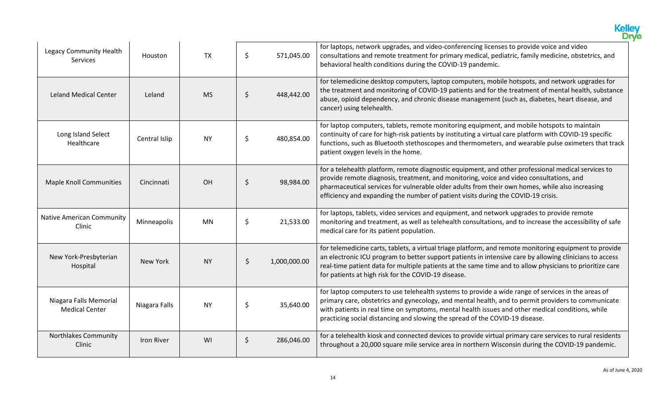|                                                 |               |           |         |              | <b>Kelley</b><br>Drve                                                                                                                                                                                                                                                                                                                                                                        |
|-------------------------------------------------|---------------|-----------|---------|--------------|----------------------------------------------------------------------------------------------------------------------------------------------------------------------------------------------------------------------------------------------------------------------------------------------------------------------------------------------------------------------------------------------|
| Legacy Community Health<br><b>Services</b>      | Houston       | <b>TX</b> | \$      | 571,045.00   | for laptops, network upgrades, and video-conferencing licenses to provide voice and video<br>consultations and remote treatment for primary medical, pediatric, family medicine, obstetrics, and<br>behavioral health conditions during the COVID-19 pandemic.                                                                                                                               |
| <b>Leland Medical Center</b>                    | Leland        | <b>MS</b> | \$      | 448,442.00   | for telemedicine desktop computers, laptop computers, mobile hotspots, and network upgrades for<br>the treatment and monitoring of COVID-19 patients and for the treatment of mental health, substance<br>abuse, opioid dependency, and chronic disease management (such as, diabetes, heart disease, and<br>cancer) using telehealth.                                                       |
| Long Island Select<br>Healthcare                | Central Islip | <b>NY</b> | \$      | 480,854.00   | for laptop computers, tablets, remote monitoring equipment, and mobile hotspots to maintain<br>continuity of care for high-risk patients by instituting a virtual care platform with COVID-19 specific<br>functions, such as Bluetooth stethoscopes and thermometers, and wearable pulse oximeters that track<br>patient oxygen levels in the home.                                          |
| <b>Maple Knoll Communities</b>                  | Cincinnati    | OH        | \$      | 98,984.00    | for a telehealth platform, remote diagnostic equipment, and other professional medical services to<br>provide remote diagnosis, treatment, and monitoring, voice and video consultations, and<br>pharmaceutical services for vulnerable older adults from their own homes, while also increasing<br>efficiency and expanding the number of patient visits during the COVID-19 crisis.        |
| <b>Native American Community</b><br>Clinic      | Minneapolis   | <b>MN</b> | \$      | 21,533.00    | for laptops, tablets, video services and equipment, and network upgrades to provide remote<br>monitoring and treatment, as well as telehealth consultations, and to increase the accessibility of safe<br>medical care for its patient population.                                                                                                                                           |
| New York-Presbyterian<br>Hospital               | New York      | <b>NY</b> | $\zeta$ | 1,000,000.00 | for telemedicine carts, tablets, a virtual triage platform, and remote monitoring equipment to provide<br>an electronic ICU program to better support patients in intensive care by allowing clinicians to access<br>real-time patient data for multiple patients at the same time and to allow physicians to prioritize care<br>for patients at high risk for the COVID-19 disease.         |
| Niagara Falls Memorial<br><b>Medical Center</b> | Niagara Falls | <b>NY</b> | \$      | 35,640.00    | for laptop computers to use telehealth systems to provide a wide range of services in the areas of<br>primary care, obstetrics and gynecology, and mental health, and to permit providers to communicate<br>with patients in real time on symptoms, mental health issues and other medical conditions, while<br>practicing social distancing and slowing the spread of the COVID-19 disease. |
| <b>Northlakes Community</b><br>Clinic           | Iron River    | WI        | \$      | 286,046.00   | for a telehealth kiosk and connected devices to provide virtual primary care services to rural residents<br>throughout a 20,000 square mile service area in northern Wisconsin during the COVID-19 pandemic.                                                                                                                                                                                 |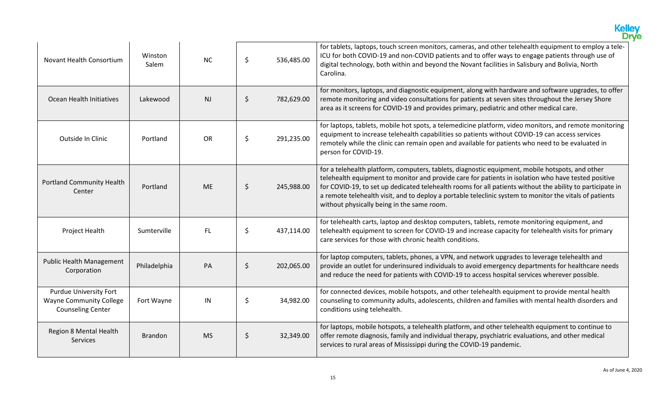|                                                                                             |                  |                |         |            | <b>Kelley</b><br>Drve                                                                                                                                                                                                                                                                                                                                                                                                                                                        |
|---------------------------------------------------------------------------------------------|------------------|----------------|---------|------------|------------------------------------------------------------------------------------------------------------------------------------------------------------------------------------------------------------------------------------------------------------------------------------------------------------------------------------------------------------------------------------------------------------------------------------------------------------------------------|
| <b>Novant Health Consortium</b>                                                             | Winston<br>Salem | <b>NC</b>      | \$      | 536,485.00 | for tablets, laptops, touch screen monitors, cameras, and other telehealth equipment to employ a tele-<br>ICU for both COVID-19 and non-COVID patients and to offer ways to engage patients through use of<br>digital technology, both within and beyond the Novant facilities in Salisbury and Bolivia, North<br>Carolina.                                                                                                                                                  |
| Ocean Health Initiatives                                                                    | Lakewood         | N <sub>J</sub> | \$      | 782,629.00 | for monitors, laptops, and diagnostic equipment, along with hardware and software upgrades, to offer<br>remote monitoring and video consultations for patients at seven sites throughout the Jersey Shore<br>area as it screens for COVID-19 and provides primary, pediatric and other medical care.                                                                                                                                                                         |
| Outside In Clinic                                                                           | Portland         | <b>OR</b>      | \$      | 291,235.00 | for laptops, tablets, mobile hot spots, a telemedicine platform, video monitors, and remote monitoring<br>equipment to increase telehealth capabilities so patients without COVID-19 can access services<br>remotely while the clinic can remain open and available for patients who need to be evaluated in<br>person for COVID-19.                                                                                                                                         |
| <b>Portland Community Health</b><br>Center                                                  | Portland         | <b>ME</b>      | \$      | 245,988.00 | for a telehealth platform, computers, tablets, diagnostic equipment, mobile hotspots, and other<br>telehealth equipment to monitor and provide care for patients in isolation who have tested positive<br>for COVID-19, to set up dedicated telehealth rooms for all patients without the ability to participate in<br>a remote telehealth visit, and to deploy a portable teleclinic system to monitor the vitals of patients<br>without physically being in the same room. |
| Project Health                                                                              | Sumterville      | <b>FL</b>      | \$      | 437,114.00 | for telehealth carts, laptop and desktop computers, tablets, remote monitoring equipment, and<br>telehealth equipment to screen for COVID-19 and increase capacity for telehealth visits for primary<br>care services for those with chronic health conditions.                                                                                                                                                                                                              |
| <b>Public Health Management</b><br>Corporation                                              | Philadelphia     | PA             | $\zeta$ | 202,065.00 | for laptop computers, tablets, phones, a VPN, and network upgrades to leverage telehealth and<br>provide an outlet for underinsured individuals to avoid emergency departments for healthcare needs<br>and reduce the need for patients with COVID-19 to access hospital services wherever possible.                                                                                                                                                                         |
| <b>Purdue University Fort</b><br><b>Wayne Community College</b><br><b>Counseling Center</b> | Fort Wayne       | IN             | \$      | 34,982.00  | for connected devices, mobile hotspots, and other telehealth equipment to provide mental health<br>counseling to community adults, adolescents, children and families with mental health disorders and<br>conditions using telehealth.                                                                                                                                                                                                                                       |
| <b>Region 8 Mental Health</b><br><b>Services</b>                                            | <b>Brandon</b>   | <b>MS</b>      | \$      | 32,349.00  | for laptops, mobile hotspots, a telehealth platform, and other telehealth equipment to continue to<br>offer remote diagnosis, family and individual therapy, psychiatric evaluations, and other medical<br>services to rural areas of Mississippi during the COVID-19 pandemic.                                                                                                                                                                                              |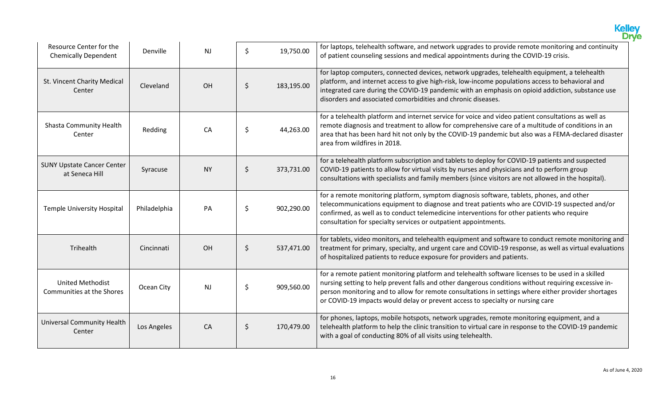|                                                        |                 |                |                  | <b>Kelley</b><br>Drve                                                                                                                                                                                                                                                                                                                                                                              |
|--------------------------------------------------------|-----------------|----------------|------------------|----------------------------------------------------------------------------------------------------------------------------------------------------------------------------------------------------------------------------------------------------------------------------------------------------------------------------------------------------------------------------------------------------|
| Resource Center for the<br><b>Chemically Dependent</b> | <b>Denville</b> | NJ             | \$<br>19,750.00  | for laptops, telehealth software, and network upgrades to provide remote monitoring and continuity<br>of patient counseling sessions and medical appointments during the COVID-19 crisis.                                                                                                                                                                                                          |
| St. Vincent Charity Medical<br>Center                  | Cleveland       | OH             | \$<br>183,195.00 | for laptop computers, connected devices, network upgrades, telehealth equipment, a telehealth<br>platform, and internet access to give high-risk, low-income populations access to behavioral and<br>integrated care during the COVID-19 pandemic with an emphasis on opioid addiction, substance use<br>disorders and associated comorbidities and chronic diseases.                              |
| Shasta Community Health<br>Center                      | Redding         | CA             | \$<br>44,263.00  | for a telehealth platform and internet service for voice and video patient consultations as well as<br>remote diagnosis and treatment to allow for comprehensive care of a multitude of conditions in an<br>area that has been hard hit not only by the COVID-19 pandemic but also was a FEMA-declared disaster<br>area from wildfires in 2018.                                                    |
| <b>SUNY Upstate Cancer Center</b><br>at Seneca Hill    | Syracuse        | <b>NY</b>      | \$<br>373,731.00 | for a telehealth platform subscription and tablets to deploy for COVID-19 patients and suspected<br>COVID-19 patients to allow for virtual visits by nurses and physicians and to perform group<br>consultations with specialists and family members (since visitors are not allowed in the hospital).                                                                                             |
| <b>Temple University Hospital</b>                      | Philadelphia    | PA             | \$<br>902,290.00 | for a remote monitoring platform, symptom diagnosis software, tablets, phones, and other<br>telecommunications equipment to diagnose and treat patients who are COVID-19 suspected and/or<br>confirmed, as well as to conduct telemedicine interventions for other patients who require<br>consultation for specialty services or outpatient appointments.                                         |
| Trihealth                                              | Cincinnati      | OH             | \$<br>537,471.00 | for tablets, video monitors, and telehealth equipment and software to conduct remote monitoring and<br>treatment for primary, specialty, and urgent care and COVID-19 response, as well as virtual evaluations<br>of hospitalized patients to reduce exposure for providers and patients.                                                                                                          |
| <b>United Methodist</b><br>Communities at the Shores   | Ocean City      | N <sub>J</sub> | \$<br>909,560.00 | for a remote patient monitoring platform and telehealth software licenses to be used in a skilled<br>nursing setting to help prevent falls and other dangerous conditions without requiring excessive in-<br>person monitoring and to allow for remote consultations in settings where either provider shortages<br>or COVID-19 impacts would delay or prevent access to specialty or nursing care |
| <b>Universal Community Health</b><br>Center            | Los Angeles     | CA             | \$<br>170,479.00 | for phones, laptops, mobile hotspots, network upgrades, remote monitoring equipment, and a<br>telehealth platform to help the clinic transition to virtual care in response to the COVID-19 pandemic<br>with a goal of conducting 80% of all visits using telehealth.                                                                                                                              |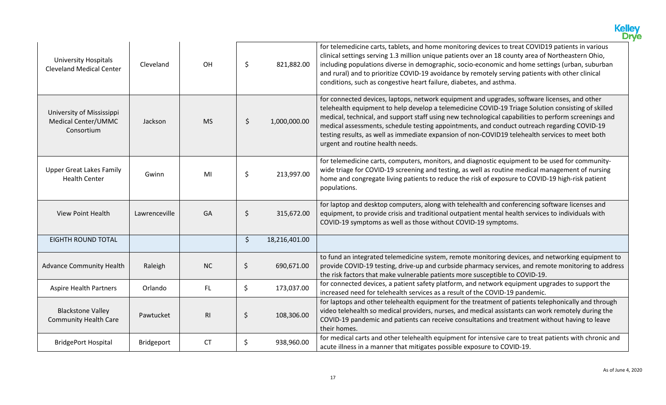|                                                                |               |           |         |               | <b>Kelley</b><br><b>Drye</b>                                                                                                                                                                                                                                                                                                                                                                                                                                                                                                                     |
|----------------------------------------------------------------|---------------|-----------|---------|---------------|--------------------------------------------------------------------------------------------------------------------------------------------------------------------------------------------------------------------------------------------------------------------------------------------------------------------------------------------------------------------------------------------------------------------------------------------------------------------------------------------------------------------------------------------------|
| <b>University Hospitals</b><br><b>Cleveland Medical Center</b> | Cleveland     | OH        | \$      | 821,882.00    | for telemedicine carts, tablets, and home monitoring devices to treat COVID19 patients in various<br>clinical settings serving 1.3 million unique patients over an 18 county area of Northeastern Ohio,<br>including populations diverse in demographic, socio-economic and home settings (urban, suburban<br>and rural) and to prioritize COVID-19 avoidance by remotely serving patients with other clinical<br>conditions, such as congestive heart failure, diabetes, and asthma.                                                            |
| University of Mississippi<br>Medical Center/UMMC<br>Consortium | Jackson       | <b>MS</b> | \$      | 1,000,000.00  | for connected devices, laptops, network equipment and upgrades, software licenses, and other<br>telehealth equipment to help develop a telemedicine COVID-19 Triage Solution consisting of skilled<br>medical, technical, and support staff using new technological capabilities to perform screenings and<br>medical assessments, schedule testing appointments, and conduct outreach regarding COVID-19<br>testing results, as well as immediate expansion of non-COVID19 telehealth services to meet both<br>urgent and routine health needs. |
| <b>Upper Great Lakes Family</b><br><b>Health Center</b>        | Gwinn         | MI        | \$      | 213,997.00    | for telemedicine carts, computers, monitors, and diagnostic equipment to be used for community-<br>wide triage for COVID-19 screening and testing, as well as routine medical management of nursing<br>home and congregate living patients to reduce the risk of exposure to COVID-19 high-risk patient<br>populations.                                                                                                                                                                                                                          |
| <b>View Point Health</b>                                       | Lawrenceville | GA        | \$      | 315,672.00    | for laptop and desktop computers, along with telehealth and conferencing software licenses and<br>equipment, to provide crisis and traditional outpatient mental health services to individuals with<br>COVID-19 symptoms as well as those without COVID-19 symptoms.                                                                                                                                                                                                                                                                            |
| <b>EIGHTH ROUND TOTAL</b>                                      |               |           | $\zeta$ | 18,216,401.00 |                                                                                                                                                                                                                                                                                                                                                                                                                                                                                                                                                  |
| <b>Advance Community Health</b>                                | Raleigh       | <b>NC</b> | $\zeta$ | 690,671.00    | to fund an integrated telemedicine system, remote monitoring devices, and networking equipment to<br>provide COVID-19 testing, drive-up and curbside pharmacy services, and remote monitoring to address<br>the risk factors that make vulnerable patients more susceptible to COVID-19.                                                                                                                                                                                                                                                         |
| <b>Aspire Health Partners</b>                                  | Orlando       | FL.       | \$      | 173,037.00    | for connected devices, a patient safety platform, and network equipment upgrades to support the<br>increased need for telehealth services as a result of the COVID-19 pandemic.                                                                                                                                                                                                                                                                                                                                                                  |
| <b>Blackstone Valley</b><br><b>Community Health Care</b>       | Pawtucket     | RI        | $\zeta$ | 108,306.00    | for laptops and other telehealth equipment for the treatment of patients telephonically and through<br>video telehealth so medical providers, nurses, and medical assistants can work remotely during the<br>COVID-19 pandemic and patients can receive consultations and treatment without having to leave<br>their homes.                                                                                                                                                                                                                      |
| <b>BridgePort Hospital</b>                                     | Bridgeport    | <b>CT</b> | \$      | 938,960.00    | for medical carts and other telehealth equipment for intensive care to treat patients with chronic and<br>acute illness in a manner that mitigates possible exposure to COVID-19.                                                                                                                                                                                                                                                                                                                                                                |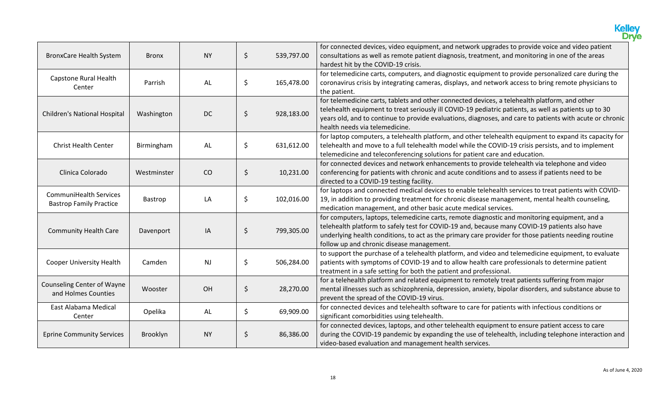|                                                                 |              |           |                  | <b>Kelley</b><br><b>Drye</b>                                                                                                                                                                                                                                                                                                                         |
|-----------------------------------------------------------------|--------------|-----------|------------------|------------------------------------------------------------------------------------------------------------------------------------------------------------------------------------------------------------------------------------------------------------------------------------------------------------------------------------------------------|
| <b>BronxCare Health System</b>                                  | <b>Bronx</b> | <b>NY</b> | \$<br>539,797.00 | for connected devices, video equipment, and network upgrades to provide voice and video patient<br>consultations as well as remote patient diagnosis, treatment, and monitoring in one of the areas<br>hardest hit by the COVID-19 crisis.                                                                                                           |
| Capstone Rural Health<br>Center                                 | Parrish      | AL        | \$<br>165,478.00 | for telemedicine carts, computers, and diagnostic equipment to provide personalized care during the<br>coronavirus crisis by integrating cameras, displays, and network access to bring remote physicians to<br>the patient.                                                                                                                         |
| Children's National Hospital                                    | Washington   | <b>DC</b> | \$<br>928,183.00 | for telemedicine carts, tablets and other connected devices, a telehealth platform, and other<br>telehealth equipment to treat seriously ill COVID-19 pediatric patients, as well as patients up to 30<br>years old, and to continue to provide evaluations, diagnoses, and care to patients with acute or chronic<br>health needs via telemedicine. |
| <b>Christ Health Center</b>                                     | Birmingham   | AL        | \$<br>631,612.00 | for laptop computers, a telehealth platform, and other telehealth equipment to expand its capacity for<br>telehealth and move to a full telehealth model while the COVID-19 crisis persists, and to implement<br>telemedicine and teleconferencing solutions for patient care and education.                                                         |
| Clinica Colorado                                                | Westminster  | CO        | \$<br>10,231.00  | for connected devices and network enhancements to provide telehealth via telephone and video<br>conferencing for patients with chronic and acute conditions and to assess if patients need to be<br>directed to a COVID-19 testing facility.                                                                                                         |
| <b>CommuniHealth Services</b><br><b>Bastrop Family Practice</b> | Bastrop      | LA        | \$<br>102,016.00 | for laptops and connected medical devices to enable telehealth services to treat patients with COVID-<br>19, in addition to providing treatment for chronic disease management, mental health counseling,<br>medication management, and other basic acute medical services.                                                                          |
| <b>Community Health Care</b>                                    | Davenport    | IA        | \$<br>799,305.00 | for computers, laptops, telemedicine carts, remote diagnostic and monitoring equipment, and a<br>telehealth platform to safely test for COVID-19 and, because many COVID-19 patients also have<br>underlying health conditions, to act as the primary care provider for those patients needing routine<br>follow up and chronic disease management.  |
| <b>Cooper University Health</b>                                 | Camden       | <b>NJ</b> | \$<br>506,284.00 | to support the purchase of a telehealth platform, and video and telemedicine equipment, to evaluate<br>patients with symptoms of COVID-19 and to allow health care professionals to determine patient<br>treatment in a safe setting for both the patient and professional.                                                                          |
| <b>Counseling Center of Wayne</b><br>and Holmes Counties        | Wooster      | OH        | \$<br>28,270.00  | for a telehealth platform and related equipment to remotely treat patients suffering from major<br>mental illnesses such as schizophrenia, depression, anxiety, bipolar disorders, and substance abuse to<br>prevent the spread of the COVID-19 virus.                                                                                               |
| East Alabama Medical<br>Center                                  | Opelika      | AL        | \$<br>69,909.00  | for connected devices and telehealth software to care for patients with infectious conditions or<br>significant comorbidities using telehealth.                                                                                                                                                                                                      |
| <b>Eprine Community Services</b>                                | Brooklyn     | <b>NY</b> | \$<br>86,386.00  | for connected devices, laptops, and other telehealth equipment to ensure patient access to care<br>during the COVID-19 pandemic by expanding the use of telehealth, including telephone interaction and<br>video-based evaluation and management health services.                                                                                    |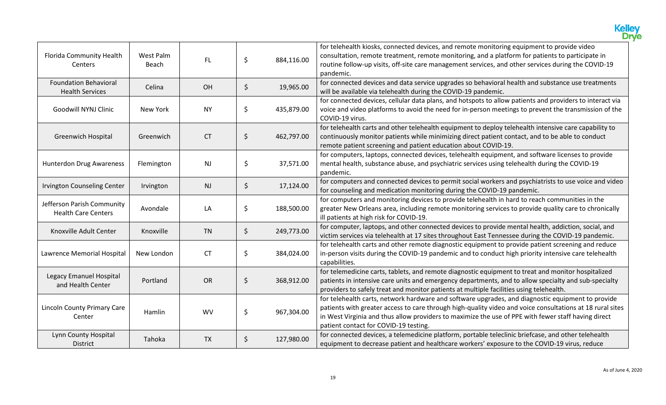|                                                          |                    |           |                  | <b>Kelley</b><br>Drye                                                                                                                                                                                                                                                                                                                                          |
|----------------------------------------------------------|--------------------|-----------|------------------|----------------------------------------------------------------------------------------------------------------------------------------------------------------------------------------------------------------------------------------------------------------------------------------------------------------------------------------------------------------|
| Florida Community Health<br>Centers                      | West Palm<br>Beach | FL        | \$<br>884,116.00 | for telehealth kiosks, connected devices, and remote monitoring equipment to provide video<br>consultation, remote treatment, remote monitoring, and a platform for patients to participate in<br>routine follow-up visits, off-site care management services, and other services during the COVID-19<br>pandemic.                                             |
| <b>Foundation Behavioral</b><br><b>Health Services</b>   | Celina             | OH        | \$<br>19,965.00  | for connected devices and data service upgrades so behavioral health and substance use treatments<br>will be available via telehealth during the COVID-19 pandemic.                                                                                                                                                                                            |
| Goodwill NYNJ Clinic                                     | New York           | <b>NY</b> | \$<br>435,879.00 | for connected devices, cellular data plans, and hotspots to allow patients and providers to interact via<br>voice and video platforms to avoid the need for in-person meetings to prevent the transmission of the<br>COVID-19 virus.                                                                                                                           |
| <b>Greenwich Hospital</b>                                | Greenwich          | <b>CT</b> | \$<br>462,797.00 | for telehealth carts and other telehealth equipment to deploy telehealth intensive care capability to<br>continuously monitor patients while minimizing direct patient contact, and to be able to conduct<br>remote patient screening and patient education about COVID-19.                                                                                    |
| <b>Hunterdon Drug Awareness</b>                          | Flemington         | NJ        | \$<br>37,571.00  | for computers, laptops, connected devices, telehealth equipment, and software licenses to provide<br>mental health, substance abuse, and psychiatric services using telehealth during the COVID-19<br>pandemic.                                                                                                                                                |
| Irvington Counseling Center                              | Irvington          | NJ        | \$<br>17,124.00  | for computers and connected devices to permit social workers and psychiatrists to use voice and video<br>for counseling and medication monitoring during the COVID-19 pandemic.                                                                                                                                                                                |
| Jefferson Parish Community<br><b>Health Care Centers</b> | Avondale           | LA        | \$<br>188,500.00 | for computers and monitoring devices to provide telehealth in hard to reach communities in the<br>greater New Orleans area, including remote monitoring services to provide quality care to chronically<br>ill patients at high risk for COVID-19.                                                                                                             |
| Knoxville Adult Center                                   | Knoxville          | <b>TN</b> | \$<br>249,773.00 | for computer, laptops, and other connected devices to provide mental health, addiction, social, and<br>victim services via telehealth at 17 sites throughout East Tennessee during the COVID-19 pandemic.                                                                                                                                                      |
| Lawrence Memorial Hospital                               | New London         | <b>CT</b> | \$<br>384,024.00 | for telehealth carts and other remote diagnostic equipment to provide patient screening and reduce<br>in-person visits during the COVID-19 pandemic and to conduct high priority intensive care telehealth<br>capabilities.                                                                                                                                    |
| Legacy Emanuel Hospital<br>and Health Center             | Portland           | OR        | \$<br>368,912.00 | for telemedicine carts, tablets, and remote diagnostic equipment to treat and monitor hospitalized<br>patients in intensive care units and emergency departments, and to allow specialty and sub-specialty<br>providers to safely treat and monitor patients at multiple facilities using telehealth.                                                          |
| Lincoln County Primary Care<br>Center                    | Hamlin             | <b>WV</b> | \$<br>967,304.00 | for telehealth carts, network hardware and software upgrades, and diagnostic equipment to provide<br>patients with greater access to care through high-quality video and voice consultations at 18 rural sites<br>in West Virginia and thus allow providers to maximize the use of PPE with fewer staff having direct<br>patient contact for COVID-19 testing. |
| Lynn County Hospital<br>District                         | Tahoka             | <b>TX</b> | \$<br>127,980.00 | for connected devices, a telemedicine platform, portable teleclinic briefcase, and other telehealth<br>equipment to decrease patient and healthcare workers' exposure to the COVID-19 virus, reduce                                                                                                                                                            |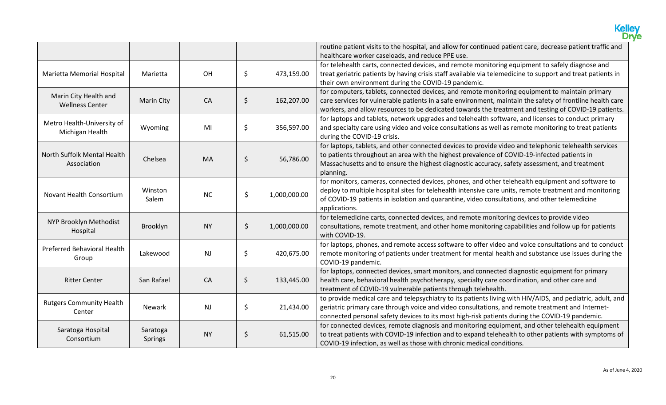|                                                 |                     |           |         |              | <b>Kelley</b><br><b>Drye</b>                                                                                                                                                                                                                                                                                                 |
|-------------------------------------------------|---------------------|-----------|---------|--------------|------------------------------------------------------------------------------------------------------------------------------------------------------------------------------------------------------------------------------------------------------------------------------------------------------------------------------|
|                                                 |                     |           |         |              | routine patient visits to the hospital, and allow for continued patient care, decrease patient traffic and<br>healthcare worker caseloads, and reduce PPE use.                                                                                                                                                               |
| Marietta Memorial Hospital                      | Marietta            | OH        | \$      | 473,159.00   | for telehealth carts, connected devices, and remote monitoring equipment to safely diagnose and<br>treat geriatric patients by having crisis staff available via telemedicine to support and treat patients in<br>their own environment during the COVID-19 pandemic.                                                        |
| Marin City Health and<br><b>Wellness Center</b> | <b>Marin City</b>   | CA        | \$      | 162,207.00   | for computers, tablets, connected devices, and remote monitoring equipment to maintain primary<br>care services for vulnerable patients in a safe environment, maintain the safety of frontline health care<br>workers, and allow resources to be dedicated towards the treatment and testing of COVID-19 patients.          |
| Metro Health-University of<br>Michigan Health   | Wyoming             | MI        | \$      | 356,597.00   | for laptops and tablets, network upgrades and telehealth software, and licenses to conduct primary<br>and specialty care using video and voice consultations as well as remote monitoring to treat patients<br>during the COVID-19 crisis.                                                                                   |
| North Suffolk Mental Health<br>Association      | Chelsea             | MA        | \$      | 56,786.00    | for laptops, tablets, and other connected devices to provide video and telephonic telehealth services<br>to patients throughout an area with the highest prevalence of COVID-19-infected patients in<br>Massachusetts and to ensure the highest diagnostic accuracy, safety assessment, and treatment<br>planning.           |
| Novant Health Consortium                        | Winston<br>Salem    | <b>NC</b> | \$      | 1,000,000.00 | for monitors, cameras, connected devices, phones, and other telehealth equipment and software to<br>deploy to multiple hospital sites for telehealth intensive care units, remote treatment and monitoring<br>of COVID-19 patients in isolation and quarantine, video consultations, and other telemedicine<br>applications. |
| NYP Brooklyn Methodist<br>Hospital              | Brooklyn            | <b>NY</b> | \$      | 1,000,000.00 | for telemedicine carts, connected devices, and remote monitoring devices to provide video<br>consultations, remote treatment, and other home monitoring capabilities and follow up for patients<br>with COVID-19.                                                                                                            |
| Preferred Behavioral Health<br>Group            | Lakewood            | <b>NJ</b> | \$      | 420,675.00   | for laptops, phones, and remote access software to offer video and voice consultations and to conduct<br>remote monitoring of patients under treatment for mental health and substance use issues during the<br>COVID-19 pandemic.                                                                                           |
| <b>Ritter Center</b>                            | San Rafael          | CA        | $\zeta$ | 133,445.00   | for laptops, connected devices, smart monitors, and connected diagnostic equipment for primary<br>health care, behavioral health psychotherapy, specialty care coordination, and other care and<br>treatment of COVID-19 vulnerable patients through telehealth.                                                             |
| <b>Rutgers Community Health</b><br>Center       | <b>Newark</b>       | NJ        | \$      | 21,434.00    | to provide medical care and telepsychiatry to its patients living with HIV/AIDS, and pediatric, adult, and<br>geriatric primary care through voice and video consultations, and remote treatment and Internet-<br>connected personal safety devices to its most high-risk patients during the COVID-19 pandemic.             |
| Saratoga Hospital<br>Consortium                 | Saratoga<br>Springs | <b>NY</b> | \$      | 61,515.00    | for connected devices, remote diagnosis and monitoring equipment, and other telehealth equipment<br>to treat patients with COVID-19 infection and to expand telehealth to other patients with symptoms of<br>COVID-19 infection, as well as those with chronic medical conditions.                                           |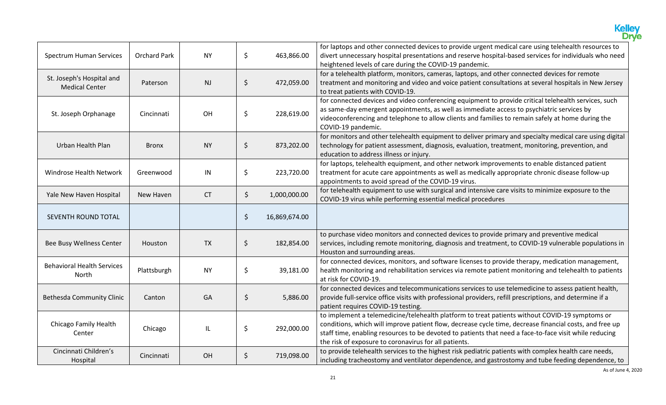|                                                    |                     |           |         |               | <b>Kelley<br/>Drye</b>                                                                                                                                                                                                                                                                                                                                                       |
|----------------------------------------------------|---------------------|-----------|---------|---------------|------------------------------------------------------------------------------------------------------------------------------------------------------------------------------------------------------------------------------------------------------------------------------------------------------------------------------------------------------------------------------|
| Spectrum Human Services                            | <b>Orchard Park</b> | <b>NY</b> | \$      | 463,866.00    | for laptops and other connected devices to provide urgent medical care using telehealth resources to<br>divert unnecessary hospital presentations and reserve hospital-based services for individuals who need<br>heightened levels of care during the COVID-19 pandemic.                                                                                                    |
| St. Joseph's Hospital and<br><b>Medical Center</b> | Paterson            | NJ        | \$      | 472,059.00    | for a telehealth platform, monitors, cameras, laptops, and other connected devices for remote<br>treatment and monitoring and video and voice patient consultations at several hospitals in New Jersey<br>to treat patients with COVID-19.                                                                                                                                   |
| St. Joseph Orphanage                               | Cincinnati          | OH        | \$      | 228,619.00    | for connected devices and video conferencing equipment to provide critical telehealth services, such<br>as same-day emergent appointments, as well as immediate access to psychiatric services by<br>videoconferencing and telephone to allow clients and families to remain safely at home during the<br>COVID-19 pandemic.                                                 |
| Urban Health Plan                                  | <b>Bronx</b>        | <b>NY</b> | \$      | 873,202.00    | for monitors and other telehealth equipment to deliver primary and specialty medical care using digital<br>technology for patient assessment, diagnosis, evaluation, treatment, monitoring, prevention, and<br>education to address illness or injury.                                                                                                                       |
| Windrose Health Network                            | Greenwood           | IN        | \$      | 223,720.00    | for laptops, telehealth equipment, and other network improvements to enable distanced patient<br>treatment for acute care appointments as well as medically appropriate chronic disease follow-up<br>appointments to avoid spread of the COVID-19 virus.                                                                                                                     |
| Yale New Haven Hospital                            | New Haven           | <b>CT</b> | \$      | 1,000,000.00  | for telehealth equipment to use with surgical and intensive care visits to minimize exposure to the<br>COVID-19 virus while performing essential medical procedures                                                                                                                                                                                                          |
| SEVENTH ROUND TOTAL                                |                     |           | \$      | 16,869,674.00 |                                                                                                                                                                                                                                                                                                                                                                              |
| Bee Busy Wellness Center                           | Houston             | <b>TX</b> | $\zeta$ | 182,854.00    | to purchase video monitors and connected devices to provide primary and preventive medical<br>services, including remote monitoring, diagnosis and treatment, to COVID-19 vulnerable populations in<br>Houston and surrounding areas.                                                                                                                                        |
| <b>Behavioral Health Services</b><br>North         | Plattsburgh         | <b>NY</b> | \$      | 39,181.00     | for connected devices, monitors, and software licenses to provide therapy, medication management,<br>health monitoring and rehabilitation services via remote patient monitoring and telehealth to patients<br>at risk for COVID-19.                                                                                                                                         |
| <b>Bethesda Community Clinic</b>                   | Canton              | GA        | \$      | 5,886.00      | for connected devices and telecommunications services to use telemedicine to assess patient health,<br>provide full-service office visits with professional providers, refill prescriptions, and determine if a<br>patient requires COVID-19 testing.                                                                                                                        |
| Chicago Family Health<br>Center                    | Chicago             | IL.       | \$      | 292,000.00    | to implement a telemedicine/telehealth platform to treat patients without COVID-19 symptoms or<br>conditions, which will improve patient flow, decrease cycle time, decrease financial costs, and free up<br>staff time, enabling resources to be devoted to patients that need a face-to-face visit while reducing<br>the risk of exposure to coronavirus for all patients. |
| Cincinnati Children's<br>Hospital                  | Cincinnati          | OH        | \$      | 719,098.00    | to provide telehealth services to the highest risk pediatric patients with complex health care needs,<br>including tracheostomy and ventilator dependence, and gastrostomy and tube feeding dependence, to                                                                                                                                                                   |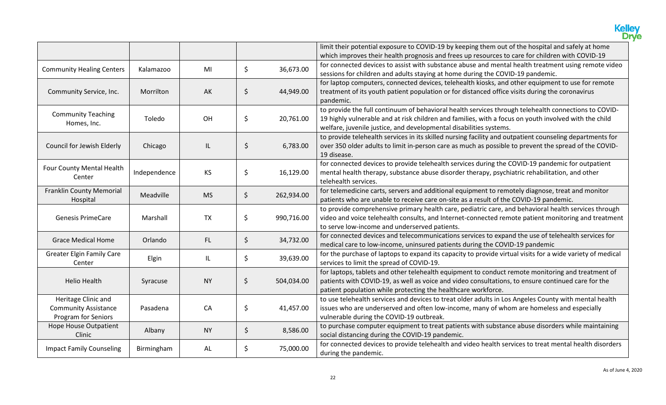|                                                                           |              |           |         |            | <b>Kelley<br/>Drye</b>                                                                                                                                                                                                                                                              |
|---------------------------------------------------------------------------|--------------|-----------|---------|------------|-------------------------------------------------------------------------------------------------------------------------------------------------------------------------------------------------------------------------------------------------------------------------------------|
|                                                                           |              |           |         |            | limit their potential exposure to COVID-19 by keeping them out of the hospital and safely at home<br>which improves their health prognosis and frees up resources to care for children with COVID-19                                                                                |
| <b>Community Healing Centers</b>                                          | Kalamazoo    | MI        | $\zeta$ | 36,673.00  | for connected devices to assist with substance abuse and mental health treatment using remote video<br>sessions for children and adults staying at home during the COVID-19 pandemic.                                                                                               |
| Community Service, Inc.                                                   | Morrilton    | AK        | \$      | 44,949.00  | for laptop computers, connected devices, telehealth kiosks, and other equipment to use for remote<br>treatment of its youth patient population or for distanced office visits during the coronavirus<br>pandemic.                                                                   |
| <b>Community Teaching</b><br>Homes, Inc.                                  | Toledo       | OH        | \$      | 20,761.00  | to provide the full continuum of behavioral health services through telehealth connections to COVID-<br>19 highly vulnerable and at risk children and families, with a focus on youth involved with the child<br>welfare, juvenile justice, and developmental disabilities systems. |
| Council for Jewish Elderly                                                | Chicago      | IL        | \$      | 6,783.00   | to provide telehealth services in its skilled nursing facility and outpatient counseling departments for<br>over 350 older adults to limit in-person care as much as possible to prevent the spread of the COVID-<br>19 disease.                                                    |
| Four County Mental Health<br>Center                                       | Independence | KS        | \$      | 16,129.00  | for connected devices to provide telehealth services during the COVID-19 pandemic for outpatient<br>mental health therapy, substance abuse disorder therapy, psychiatric rehabilitation, and other<br>telehealth services.                                                          |
| <b>Franklin County Memorial</b><br>Hospital                               | Meadville    | <b>MS</b> | $\zeta$ | 262,934.00 | for telemedicine carts, servers and additional equipment to remotely diagnose, treat and monitor<br>patients who are unable to receive care on-site as a result of the COVID-19 pandemic.                                                                                           |
| <b>Genesis PrimeCare</b>                                                  | Marshall     | <b>TX</b> | \$      | 990,716.00 | to provide comprehensive primary health care, pediatric care, and behavioral health services through<br>video and voice telehealth consults, and Internet-connected remote patient monitoring and treatment<br>to serve low-income and underserved patients.                        |
| <b>Grace Medical Home</b>                                                 | Orlando      | FL.       | $\zeta$ | 34,732.00  | for connected devices and telecommunications services to expand the use of telehealth services for<br>medical care to low-income, uninsured patients during the COVID-19 pandemic                                                                                                   |
| <b>Greater Elgin Family Care</b><br>Center                                | Elgin        | IL        | \$      | 39,639.00  | for the purchase of laptops to expand its capacity to provide virtual visits for a wide variety of medical<br>services to limit the spread of COVID-19.                                                                                                                             |
| <b>Helio Health</b>                                                       | Syracuse     | <b>NY</b> | \$      | 504,034.00 | for laptops, tablets and other telehealth equipment to conduct remote monitoring and treatment of<br>patients with COVID-19, as well as voice and video consultations, to ensure continued care for the<br>patient population while protecting the healthcare workforce.            |
| Heritage Clinic and<br><b>Community Assistance</b><br>Program for Seniors | Pasadena     | CA        | \$      | 41,457.00  | to use telehealth services and devices to treat older adults in Los Angeles County with mental health<br>issues who are underserved and often low-income, many of whom are homeless and especially<br>vulnerable during the COVID-19 outbreak.                                      |
| Hope House Outpatient<br>Clinic                                           | Albany       | <b>NY</b> | \$      | 8,586.00   | to purchase computer equipment to treat patients with substance abuse disorders while maintaining<br>social distancing during the COVID-19 pandemic.                                                                                                                                |
| <b>Impact Family Counseling</b>                                           | Birmingham   | AL        | \$      | 75,000.00  | for connected devices to provide telehealth and video health services to treat mental health disorders<br>during the pandemic.                                                                                                                                                      |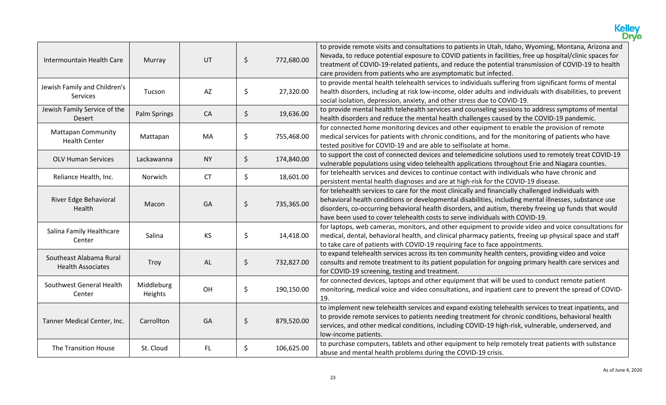|                                                     |                       |                        |         |            | <b>Kelley</b><br>Drye                                                                                                                                                                                                                                                                                                                                                                                |
|-----------------------------------------------------|-----------------------|------------------------|---------|------------|------------------------------------------------------------------------------------------------------------------------------------------------------------------------------------------------------------------------------------------------------------------------------------------------------------------------------------------------------------------------------------------------------|
| Intermountain Health Care                           | Murray                | UT                     | \$      | 772,680.00 | to provide remote visits and consultations to patients in Utah, Idaho, Wyoming, Montana, Arizona and<br>Nevada, to reduce potential exposure to COVID patients in facilities, free up hospital/clinic spaces for<br>treatment of COVID-19-related patients, and reduce the potential transmission of COVID-19 to health<br>care providers from patients who are asymptomatic but infected.           |
| Jewish Family and Children's<br>Services            | Tucson                | $\mathsf{A}\mathsf{Z}$ | \$      | 27,320.00  | to provide mental health telehealth services to individuals suffering from significant forms of mental<br>health disorders, including at risk low-income, older adults and individuals with disabilities, to prevent<br>social isolation, depression, anxiety, and other stress due to COVID-19.                                                                                                     |
| Jewish Family Service of the<br><b>Desert</b>       | Palm Springs          | CA                     | $\zeta$ | 19,636.00  | to provide mental health telehealth services and counseling sessions to address symptoms of mental<br>health disorders and reduce the mental health challenges caused by the COVID-19 pandemic.                                                                                                                                                                                                      |
| <b>Mattapan Community</b><br><b>Health Center</b>   | Mattapan              | MA                     | \$      | 755,468.00 | for connected home monitoring devices and other equipment to enable the provision of remote<br>medical services for patients with chronic conditions, and for the monitoring of patients who have<br>tested positive for COVID-19 and are able to selfisolate at home.                                                                                                                               |
| <b>OLV Human Services</b>                           | Lackawanna            | <b>NY</b>              | $\zeta$ | 174,840.00 | to support the cost of connected devices and telemedicine solutions used to remotely treat COVID-19<br>vulnerable populations using video telehealth applications throughout Erie and Niagara counties.                                                                                                                                                                                              |
| Reliance Health, Inc.                               | <b>Norwich</b>        | <b>CT</b>              | \$      | 18,601.00  | for telehealth services and devices to continue contact with individuals who have chronic and<br>persistent mental health diagnoses and are at high-risk for the COVID-19 disease.                                                                                                                                                                                                                   |
| River Edge Behavioral<br>Health                     | Macon                 | GA                     | $\zeta$ | 735,365.00 | for telehealth services to care for the most clinically and financially challenged individuals with<br>behavioral health conditions or developmental disabilities, including mental illnesses, substance use<br>disorders, co-occurring behavioral health disorders, and autism, thereby freeing up funds that would<br>have been used to cover telehealth costs to serve individuals with COVID-19. |
| Salina Family Healthcare<br>Center                  | Salina                | <b>KS</b>              | \$      | 14,418.00  | for laptops, web cameras, monitors, and other equipment to provide video and voice consultations for<br>medical, dental, behavioral health, and clinical pharmacy patients, freeing up physical space and staff<br>to take care of patients with COVID-19 requiring face to face appointments.                                                                                                       |
| Southeast Alabama Rural<br><b>Health Associates</b> | Troy                  | AL                     | $\zeta$ | 732,827.00 | to expand telehealth services across its ten community health centers, providing video and voice<br>consults and remote treatment to its patient population for ongoing primary health care services and<br>for COVID-19 screening, testing and treatment.                                                                                                                                           |
| Southwest General Health<br>Center                  | Middleburg<br>Heights | OH                     | \$      | 190,150.00 | for connected devices, laptops and other equipment that will be used to conduct remote patient<br>monitoring, medical voice and video consultations, and inpatient care to prevent the spread of COVID-<br>19.                                                                                                                                                                                       |
| Tanner Medical Center, Inc.                         | Carrollton            | GA                     | $\zeta$ | 879,520.00 | to implement new telehealth services and expand existing telehealth services to treat inpatients, and<br>to provide remote services to patients needing treatment for chronic conditions, behavioral health<br>services, and other medical conditions, including COVID-19 high-risk, vulnerable, underserved, and<br>low-income patients.                                                            |
| The Transition House                                | St. Cloud             | FL.                    | \$      | 106,625.00 | to purchase computers, tablets and other equipment to help remotely treat patients with substance<br>abuse and mental health problems during the COVID-19 crisis.                                                                                                                                                                                                                                    |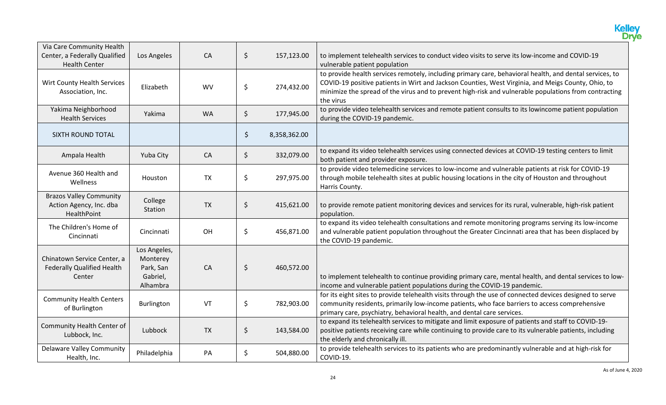|                                                                                    |                                                               |           |         |              | <b>Kelley</b><br>Drye                                                                                                                                                                                                                                                                                                               |
|------------------------------------------------------------------------------------|---------------------------------------------------------------|-----------|---------|--------------|-------------------------------------------------------------------------------------------------------------------------------------------------------------------------------------------------------------------------------------------------------------------------------------------------------------------------------------|
| Via Care Community Health<br>Center, a Federally Qualified<br><b>Health Center</b> | Los Angeles                                                   | CA        | \$      | 157,123.00   | to implement telehealth services to conduct video visits to serve its low-income and COVID-19<br>vulnerable patient population                                                                                                                                                                                                      |
| Wirt County Health Services<br>Association, Inc.                                   | Elizabeth                                                     | <b>WV</b> | \$      | 274,432.00   | to provide health services remotely, including primary care, behavioral health, and dental services, to<br>COVID-19 positive patients in Wirt and Jackson Counties, West Virginia, and Meigs County, Ohio, to<br>minimize the spread of the virus and to prevent high-risk and vulnerable populations from contracting<br>the virus |
| Yakima Neighborhood<br><b>Health Services</b>                                      | Yakima                                                        | <b>WA</b> | \$      | 177,945.00   | to provide video telehealth services and remote patient consults to its lowincome patient population<br>during the COVID-19 pandemic.                                                                                                                                                                                               |
| SIXTH ROUND TOTAL                                                                  |                                                               |           | \$      | 8,358,362.00 |                                                                                                                                                                                                                                                                                                                                     |
| Ampala Health                                                                      | Yuba City                                                     | CA        | $\zeta$ | 332,079.00   | to expand its video telehealth services using connected devices at COVID-19 testing centers to limit<br>both patient and provider exposure.                                                                                                                                                                                         |
| Avenue 360 Health and<br>Wellness                                                  | Houston                                                       | <b>TX</b> | \$      | 297,975.00   | to provide video telemedicine services to low-income and vulnerable patients at risk for COVID-19<br>through mobile telehealth sites at public housing locations in the city of Houston and throughout<br>Harris County.                                                                                                            |
| <b>Brazos Valley Community</b><br>Action Agency, Inc. dba<br>HealthPoint           | College<br>Station                                            | <b>TX</b> | $\zeta$ | 415,621.00   | to provide remote patient monitoring devices and services for its rural, vulnerable, high-risk patient<br>population.                                                                                                                                                                                                               |
| The Children's Home of<br>Cincinnati                                               | Cincinnati                                                    | OH        | \$      | 456,871.00   | to expand its video telehealth consultations and remote monitoring programs serving its low-income<br>and vulnerable patient population throughout the Greater Cincinnati area that has been displaced by<br>the COVID-19 pandemic.                                                                                                 |
| Chinatown Service Center, a<br><b>Federally Qualified Health</b><br>Center         | Los Angeles,<br>Monterey<br>Park, San<br>Gabriel,<br>Alhambra | CA        | $\zeta$ | 460,572.00   | to implement telehealth to continue providing primary care, mental health, and dental services to low-<br>income and vulnerable patient populations during the COVID-19 pandemic.                                                                                                                                                   |
| <b>Community Health Centers</b><br>of Burlington                                   | Burlington                                                    | VT        | \$      | 782,903.00   | for its eight sites to provide telehealth visits through the use of connected devices designed to serve<br>community residents, primarily low-income patients, who face barriers to access comprehensive<br>primary care, psychiatry, behavioral health, and dental care services.                                                  |
| Community Health Center of<br>Lubbock, Inc.                                        | Lubbock                                                       | <b>TX</b> | $\zeta$ | 143,584.00   | to expand its telehealth services to mitigate and limit exposure of patients and staff to COVID-19-<br>positive patients receiving care while continuing to provide care to its vulnerable patients, including<br>the elderly and chronically ill.                                                                                  |
| <b>Delaware Valley Community</b><br>Health, Inc.                                   | Philadelphia                                                  | PA        | \$      | 504,880.00   | to provide telehealth services to its patients who are predominantly vulnerable and at high-risk for<br>COVID-19.                                                                                                                                                                                                                   |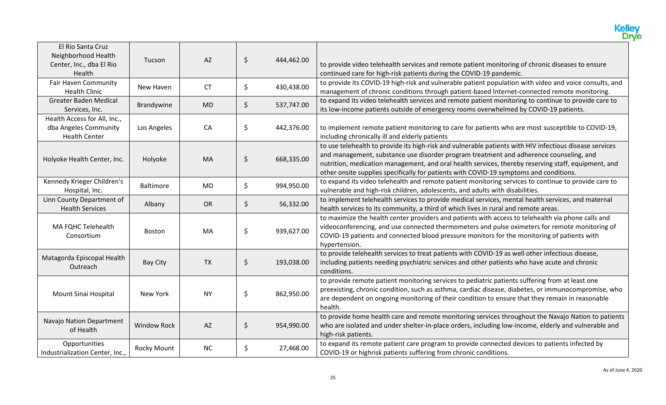|                                                                                |                    |           |                  | <b>Kelley</b><br>Drye                                                                                                                                                                                                                                                                                                                                                                              |
|--------------------------------------------------------------------------------|--------------------|-----------|------------------|----------------------------------------------------------------------------------------------------------------------------------------------------------------------------------------------------------------------------------------------------------------------------------------------------------------------------------------------------------------------------------------------------|
| El Rio Santa Cruz<br>Neighborhood Health<br>Center, Inc., dba El Rio<br>Health | Tucson             | AZ        | \$<br>444,462.00 | to provide video telehealth services and remote patient monitoring of chronic diseases to ensure<br>continued care for high-risk patients during the COVID-19 pandemic.                                                                                                                                                                                                                            |
| Fair Haven Community<br><b>Health Clinic</b>                                   | New Haven          | <b>CT</b> | \$<br>430,438.00 | to provide its COVID-19 high-risk and vulnerable patient population with video and voice consults, and<br>management of chronic conditions through patient-based Internet-connected remote monitoring.                                                                                                                                                                                             |
| <b>Greater Baden Medical</b><br>Services, Inc.                                 | Brandywine         | <b>MD</b> | \$<br>537,747.00 | to expand its video telehealth services and remote patient monitoring to continue to provide care to<br>its low-income patients outside of emergency rooms overwhelmed by COVID-19 patients.                                                                                                                                                                                                       |
| Health Access for All, Inc.,<br>dba Angeles Community<br><b>Health Center</b>  | Los Angeles        | CA        | \$<br>442,376.00 | to implement remote patient monitoring to care for patients who are most susceptible to COVID-19,<br>including chronically ill and elderly patients                                                                                                                                                                                                                                                |
| Holyoke Health Center, Inc.                                                    | Holyoke            | MA        | \$<br>668,335.00 | to use telehealth to provide its high-risk and vulnerable patients with HIV infectious disease services<br>and management, substance use disorder program treatment and adherence counseling, and<br>nutrition, medication management, and oral health services, thereby reserving staff, equipment, and<br>other onsite supplies specifically for patients with COVID-19 symptoms and conditions. |
| Kennedy Krieger Children's<br>Hospital, Inc.                                   | <b>Baltimore</b>   | <b>MD</b> | \$<br>994,950.00 | to expand its video telehealth and remote patient monitoring services to continue to provide care to<br>vulnerable and high-risk children, adolescents, and adults with disabilities.                                                                                                                                                                                                              |
| Linn County Department of<br><b>Health Services</b>                            | Albany             | <b>OR</b> | \$<br>56,332.00  | to implement telehealth services to provide medical services, mental health services, and maternal<br>health services to its community, a third of which lives in rural and remote areas.                                                                                                                                                                                                          |
| MA FQHC Telehealth<br>Consortium                                               | <b>Boston</b>      | MA        | \$<br>939,627.00 | to maximize the health center providers and patients with access to telehealth via phone calls and<br>videoconferencing, and use connected thermometers and pulse oximeters for remote monitoring of<br>COVID-19 patients and connected blood pressure monitors for the monitoring of patients with<br>hypertension.                                                                               |
| Matagorda Episcopal Health<br>Outreach                                         | <b>Bay City</b>    | <b>TX</b> | \$<br>193,038.00 | to provide telehealth services to treat patients with COVID-19 as well other infectious disease,<br>including patients needing psychiatric services and other patients who have acute and chronic<br>conditions.                                                                                                                                                                                   |
| Mount Sinai Hospital                                                           | New York           | <b>NY</b> | \$<br>862,950.00 | to provide remote patient monitoring services to pediatric patients suffering from at least one<br>preexisting, chronic condition, such as asthma, cardiac disease, diabetes, or immunocompromise, who<br>are dependent on ongoing monitoring of their condition to ensure that they remain in reasonable<br>health.                                                                               |
| Navajo Nation Department<br>of Health                                          | <b>Window Rock</b> | AZ        | \$<br>954,990.00 | to provide home health care and remote monitoring services throughout the Navajo Nation to patients<br>who are isolated and under shelter-in-place orders, including low-income, elderly and vulnerable and<br>high-risk patients.                                                                                                                                                                 |
| Opportunities<br>Industrialization Center, Inc.,                               | <b>Rocky Mount</b> | NC        | \$<br>27,468.00  | to expand its remote patient care program to provide connected devices to patients infected by<br>COVID-19 or highrisk patients suffering from chronic conditions.                                                                                                                                                                                                                                 |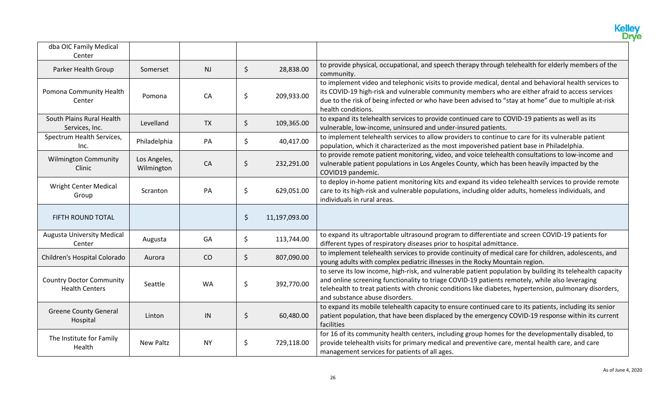|                                                          |                            |           |         |               | <b>Kelley</b><br>Dryje                                                                                                                                                                                                                                                                                                                                  |
|----------------------------------------------------------|----------------------------|-----------|---------|---------------|---------------------------------------------------------------------------------------------------------------------------------------------------------------------------------------------------------------------------------------------------------------------------------------------------------------------------------------------------------|
| dba OIC Family Medical<br>Center                         |                            |           |         |               |                                                                                                                                                                                                                                                                                                                                                         |
| Parker Health Group                                      | Somerset                   | NJ        | $\zeta$ | 28,838.00     | to provide physical, occupational, and speech therapy through telehealth for elderly members of the<br>community.                                                                                                                                                                                                                                       |
| Pomona Community Health<br>Center                        | Pomona                     | CA        | \$      | 209,933.00    | to implement video and telephonic visits to provide medical, dental and behavioral health services to<br>its COVID-19 high-risk and vulnerable community members who are either afraid to access services<br>due to the risk of being infected or who have been advised to "stay at home" due to multiple at-risk<br>health conditions.                 |
| South Plains Rural Health<br>Services, Inc.              | Levelland                  | <b>TX</b> | \$      | 109,365.00    | to expand its telehealth services to provide continued care to COVID-19 patients as well as its<br>vulnerable, low-income, uninsured and under-insured patients.                                                                                                                                                                                        |
| Spectrum Health Services,<br>Inc.                        | Philadelphia               | PA        | $\zeta$ | 40,417.00     | to implement telehealth services to allow providers to continue to care for its vulnerable patient<br>population, which it characterized as the most impoverished patient base in Philadelphia.                                                                                                                                                         |
| <b>Wilmington Community</b><br>Clinic                    | Los Angeles,<br>Wilmington | CA        | \$      | 232,291.00    | to provide remote patient monitoring, video, and voice telehealth consultations to low-income and<br>vulnerable patient populations in Los Angeles County, which has been heavily impacted by the<br>COVID19 pandemic.                                                                                                                                  |
| <b>Wright Center Medical</b><br>Group                    | Scranton                   | PA        | \$      | 629,051.00    | to deploy in-home patient monitoring kits and expand its video telehealth services to provide remote<br>care to its high-risk and vulnerable populations, including older adults, homeless individuals, and<br>individuals in rural areas.                                                                                                              |
| FIFTH ROUND TOTAL                                        |                            |           | \$      | 11,197,093.00 |                                                                                                                                                                                                                                                                                                                                                         |
| <b>Augusta University Medical</b><br>Center              | Augusta                    | GA        | \$      | 113,744.00    | to expand its ultraportable ultrasound program to differentiate and screen COVID-19 patients for<br>different types of respiratory diseases prior to hospital admittance.                                                                                                                                                                               |
| Children's Hospital Colorado                             | Aurora                     | CO        | \$      | 807,090.00    | to implement telehealth services to provide continuity of medical care for children, adolescents, and<br>young adults with complex pediatric illnesses in the Rocky Mountain region.                                                                                                                                                                    |
| <b>Country Doctor Community</b><br><b>Health Centers</b> | Seattle                    | <b>WA</b> | \$      | 392,770.00    | to serve its low income, high-risk, and vulnerable patient population by building its telehealth capacity<br>and online screening functionality to triage COVID-19 patients remotely, while also leveraging<br>telehealth to treat patients with chronic conditions like diabetes, hypertension, pulmonary disorders,<br>and substance abuse disorders. |
| <b>Greene County General</b><br>Hospital                 | Linton                     | IN        | \$      | 60,480.00     | to expand its mobile telehealth capacity to ensure continued care to its patients, including its senior<br>patient population, that have been displaced by the emergency COVID-19 response within its current<br>facilities                                                                                                                             |
| The Institute for Family<br>Health                       | New Paltz                  | <b>NY</b> | \$      | 729,118.00    | for 16 of its community health centers, including group homes for the developmentally disabled, to<br>provide telehealth visits for primary medical and preventive care, mental health care, and care<br>management services for patients of all ages.                                                                                                  |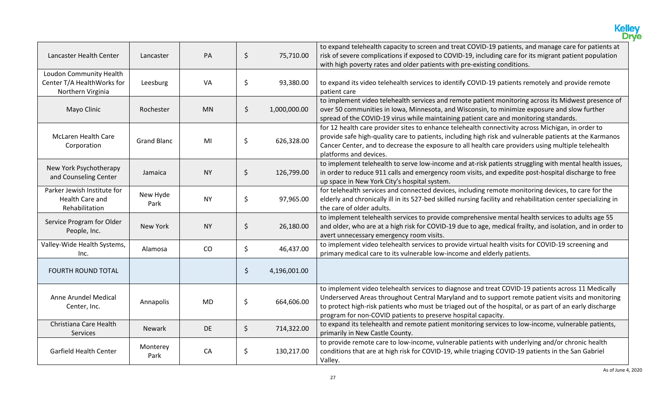|                                                                            |                    |           |         |              | <b>Kelley</b><br>Drve                                                                                                                                                                                                                                                                                                                                                               |
|----------------------------------------------------------------------------|--------------------|-----------|---------|--------------|-------------------------------------------------------------------------------------------------------------------------------------------------------------------------------------------------------------------------------------------------------------------------------------------------------------------------------------------------------------------------------------|
| Lancaster Health Center                                                    | Lancaster          | PA        | \$      | 75,710.00    | to expand telehealth capacity to screen and treat COVID-19 patients, and manage care for patients at<br>risk of severe complications if exposed to COVID-19, including care for its migrant patient population<br>with high poverty rates and older patients with pre-existing conditions.                                                                                          |
| Loudon Community Health<br>Center T/A HealthWorks for<br>Northern Virginia | Leesburg           | VA        | \$      | 93,380.00    | to expand its video telehealth services to identify COVID-19 patients remotely and provide remote<br>patient care                                                                                                                                                                                                                                                                   |
| Mayo Clinic                                                                | Rochester          | <b>MN</b> | $\zeta$ | 1,000,000.00 | to implement video telehealth services and remote patient monitoring across its Midwest presence of<br>over 50 communities in Iowa, Minnesota, and Wisconsin, to minimize exposure and slow further<br>spread of the COVID-19 virus while maintaining patient care and monitoring standards.                                                                                        |
| <b>McLaren Health Care</b><br>Corporation                                  | <b>Grand Blanc</b> | MI        | \$      | 626,328.00   | for 12 health care provider sites to enhance telehealth connectivity across Michigan, in order to<br>provide safe high-quality care to patients, including high risk and vulnerable patients at the Karmanos<br>Cancer Center, and to decrease the exposure to all health care providers using multiple telehealth<br>platforms and devices.                                        |
| New York Psychotherapy<br>and Counseling Center                            | Jamaica            | <b>NY</b> | $\zeta$ | 126,799.00   | to implement telehealth to serve low-income and at-risk patients struggling with mental health issues,<br>in order to reduce 911 calls and emergency room visits, and expedite post-hospital discharge to free<br>up space in New York City's hospital system.                                                                                                                      |
| Parker Jewish Institute for<br>Health Care and<br>Rehabilitation           | New Hyde<br>Park   | <b>NY</b> | \$      | 97,965.00    | for telehealth services and connected devices, including remote monitoring devices, to care for the<br>elderly and chronically ill in its 527-bed skilled nursing facility and rehabilitation center specializing in<br>the care of older adults.                                                                                                                                   |
| Service Program for Older<br>People, Inc.                                  | New York           | <b>NY</b> | \$      | 26,180.00    | to implement telehealth services to provide comprehensive mental health services to adults age 55<br>and older, who are at a high risk for COVID-19 due to age, medical frailty, and isolation, and in order to<br>avert unnecessary emergency room visits.                                                                                                                         |
| Valley-Wide Health Systems,<br>Inc.                                        | Alamosa            | CO        | \$      | 46,437.00    | to implement video telehealth services to provide virtual health visits for COVID-19 screening and<br>primary medical care to its vulnerable low-income and elderly patients.                                                                                                                                                                                                       |
| <b>FOURTH ROUND TOTAL</b>                                                  |                    |           | $\zeta$ | 4,196,001.00 |                                                                                                                                                                                                                                                                                                                                                                                     |
| Anne Arundel Medical<br>Center, Inc.                                       | Annapolis          | <b>MD</b> | \$      | 664,606.00   | to implement video telehealth services to diagnose and treat COVID-19 patients across 11 Medically<br>Underserved Areas throughout Central Maryland and to support remote patient visits and monitoring<br>to protect high-risk patients who must be triaged out of the hospital, or as part of an early discharge<br>program for non-COVID patients to preserve hospital capacity. |
| Christiana Care Health<br>Services                                         | <b>Newark</b>      | <b>DE</b> | \$      | 714,322.00   | to expand its telehealth and remote patient monitoring services to low-income, vulnerable patients,<br>primarily in New Castle County.                                                                                                                                                                                                                                              |
| Garfield Health Center                                                     | Monterey<br>Park   | CA        | \$      | 130,217.00   | to provide remote care to low-income, vulnerable patients with underlying and/or chronic health<br>conditions that are at high risk for COVID-19, while triaging COVID-19 patients in the San Gabriel<br>Valley.                                                                                                                                                                    |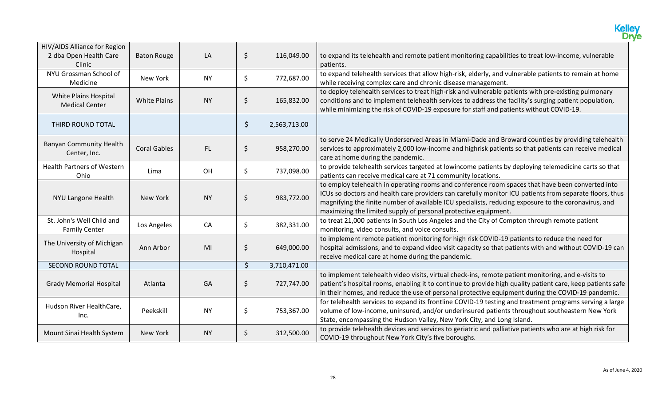|                                                                  |                     |           |         |              | <b>Kelley</b><br><b>Drye</b>                                                                                                                                                                                                                                                                                                                                                           |
|------------------------------------------------------------------|---------------------|-----------|---------|--------------|----------------------------------------------------------------------------------------------------------------------------------------------------------------------------------------------------------------------------------------------------------------------------------------------------------------------------------------------------------------------------------------|
| HIV/AIDS Alliance for Region<br>2 dba Open Health Care<br>Clinic | <b>Baton Rouge</b>  | LA        | $\zeta$ | 116,049.00   | to expand its telehealth and remote patient monitoring capabilities to treat low-income, vulnerable<br>patients.                                                                                                                                                                                                                                                                       |
| NYU Grossman School of<br>Medicine                               | New York            | <b>NY</b> | \$      | 772,687.00   | to expand telehealth services that allow high-risk, elderly, and vulnerable patients to remain at home<br>while receiving complex care and chronic disease management.                                                                                                                                                                                                                 |
| White Plains Hospital<br><b>Medical Center</b>                   | <b>White Plains</b> | <b>NY</b> | \$      | 165,832.00   | to deploy telehealth services to treat high-risk and vulnerable patients with pre-existing pulmonary<br>conditions and to implement telehealth services to address the facility's surging patient population,<br>while minimizing the risk of COVID-19 exposure for staff and patients without COVID-19.                                                                               |
| THIRD ROUND TOTAL                                                |                     |           | \$      | 2,563,713.00 |                                                                                                                                                                                                                                                                                                                                                                                        |
| <b>Banyan Community Health</b><br>Center, Inc.                   | <b>Coral Gables</b> | FL.       | \$      | 958,270.00   | to serve 24 Medically Underserved Areas in Miami-Dade and Broward counties by providing telehealth<br>services to approximately 2,000 low-income and highrisk patients so that patients can receive medical<br>care at home during the pandemic.                                                                                                                                       |
| <b>Health Partners of Western</b><br>Ohio                        | Lima                | OH        | \$      | 737,098.00   | to provide telehealth services targeted at lowincome patients by deploying telemedicine carts so that<br>patients can receive medical care at 71 community locations.                                                                                                                                                                                                                  |
| NYU Langone Health                                               | New York            | <b>NY</b> | \$      | 983,772.00   | to employ telehealth in operating rooms and conference room spaces that have been converted into<br>ICUs so doctors and health care providers can carefully monitor ICU patients from separate floors, thus<br>magnifying the finite number of available ICU specialists, reducing exposure to the coronavirus, and<br>maximizing the limited supply of personal protective equipment. |
| St. John's Well Child and<br><b>Family Center</b>                | Los Angeles         | CA        | \$      | 382,331.00   | to treat 21,000 patients in South Los Angeles and the City of Compton through remote patient<br>monitoring, video consults, and voice consults.                                                                                                                                                                                                                                        |
| The University of Michigan<br>Hospital                           | Ann Arbor           | MI        | \$      | 649,000.00   | to implement remote patient monitoring for high risk COVID-19 patients to reduce the need for<br>hospital admissions, and to expand video visit capacity so that patients with and without COVID-19 can<br>receive medical care at home during the pandemic.                                                                                                                           |
| <b>SECOND ROUND TOTAL</b>                                        |                     |           | \$      | 3,710,471.00 |                                                                                                                                                                                                                                                                                                                                                                                        |
| <b>Grady Memorial Hospital</b>                                   | Atlanta             | GA        | \$      | 727,747.00   | to implement telehealth video visits, virtual check-ins, remote patient monitoring, and e-visits to<br>patient's hospital rooms, enabling it to continue to provide high quality patient care, keep patients safe<br>in their homes, and reduce the use of personal protective equipment during the COVID-19 pandemic.                                                                 |
| Hudson River HealthCare,<br>Inc.                                 | Peekskill           | <b>NY</b> | \$      | 753,367.00   | for telehealth services to expand its frontline COVID-19 testing and treatment programs serving a large<br>volume of low-income, uninsured, and/or underinsured patients throughout southeastern New York<br>State, encompassing the Hudson Valley, New York City, and Long Island.                                                                                                    |
| Mount Sinai Health System                                        | New York            | <b>NY</b> | \$      | 312,500.00   | to provide telehealth devices and services to geriatric and palliative patients who are at high risk for<br>COVID-19 throughout New York City's five boroughs.                                                                                                                                                                                                                         |